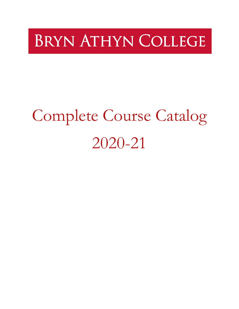# **BRYN ATHYN COLLEGE**

# <span id="page-0-1"></span><span id="page-0-0"></span>Complete Course Catalog 2020-21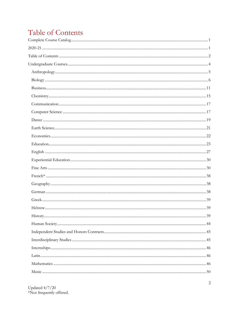# <span id="page-1-0"></span>Table of Contents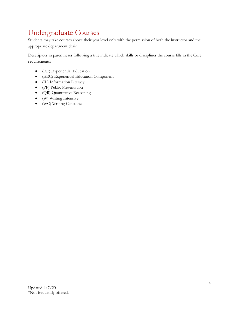# <span id="page-3-0"></span>Undergraduate Courses

Students may take courses above their year level only with the permission of both the instructor and the appropriate department chair.

Descriptors in parentheses following a title indicate which skills or disciplines the course fills in the Core requirements:

- (EE) Experiential Education
- (EEC) Experiential Education Component
- (IL) Information Literacy
- (PP) Public Presentation
- (QR) Quantitative Reasoning
- (W) Writing Intensive
- (WC) Writing Capstone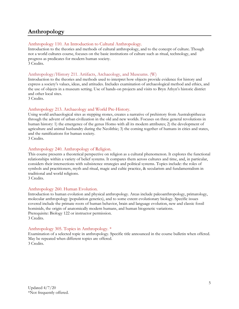# <span id="page-4-0"></span>**Anthropology**

#### Anthropology 110. An Introduction to Cultural Anthropology.

Introduction to the theories and methods of cultural anthropology, and to the concept of culture. Though not a world cultures course, focuses on the basic institutions of culture such as ritual, technology, and progress as predicates for modern human society. 3 Credits.

#### Anthropology/History 211. Artifacts, Archaeology, and Museums. (W)

Introduction to the theories and methods used to interpret how objects provide evidence for history and express a society's values, ideas, and attitudes. Includes examination of archaeological method and ethics, and the use of objects in a museum setting. Use of hands-on projects and visits to Bryn Athyn's historic district and other local sites.

3 Credits.

#### Anthropology 213. Archaeology and World Pre-History.

Using world archaeological sites as stepping stones, creates a narrative of prehistory from Australopithecus through the advent of urban civilization in the old and new worlds. Focuses on three general revolutions in human history: 1) the emergence of the genus Homo with all its modern attributes; 2) the development of agriculture and animal husbandry during the Neolithic; 3) the coming together of humans in cities and states, and the ramifications for human society.

3 Credits.

#### Anthropology 240. Anthropology of Religion.

This course presents a theoretical perspective on religion as a cultural phenomenon. It explores the functional relationships within a variety of belief systems. It compares them across cultures and time, and, in particular, considers their intersections with subsistence strategies and political systems. Topics include: the roles of symbols and practitioners, myth and ritual, magic and cultic practice, & secularism and fundamentalism in traditional and world religions.

3 Credits.

#### Anthropology 260. Human Evolution.

Introduction to human evolution and physical anthropology. Areas include paleoanthropology, primatology, molecular anthropology (population genetics), and to some extent evolutionary biology. Specific issues covered include the primate roots of human behavior, brain and language evolution, new and classic fossil hominids, the origin of anatomically modern humans, and human biogenetic variations. Prerequisite: Biology 122 or instructor permission. 3 Credits.

#### Anthropology 305. Topics in Anthropology. \*

Examination of a selected topic in anthropology. Specific title announced in the course bulletin when offered. May be repeated when different topics are offered. 3 Credits.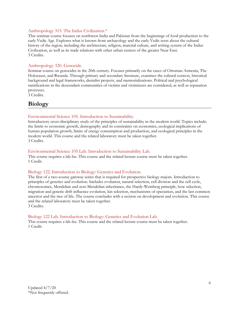#### Anthropology 315. The Indus Civilization.\*

This seminar course focuses on northwest India and Pakistan from the beginnings of food production to the early Vedic Age. Explores what is known from archaeology and the early Vedic texts about the cultural history of the region, including the architecture, religion, material culture, and writing system of the Indus Civilization, as well as its trade relations with other urban centers of the greater Near East. 3 Credits.

#### Anthropology 320. Genocide.

Seminar course on genocides in the 20th century. Focuses primarily on the cases of Ottoman Armenia, The Holocaust, and Rwanda. Through primary and secondary literature, examines the cultural context, historical background and legal frameworks, denialist projects, and memorializations. Political and psychological ramifications in the descendant communities of victims and victimizers are considered, as well as reparation processes.

3 Credits.

## <span id="page-5-0"></span>**Biology**

#### Environmental Science 105. Introduction to Sustainability.

Introductory cross-disciplinary study of the principles of sustainability in the modern world. Topics include: the limits to economic growth, demography and its constraints on economics, ecological implications of human population growth, limits of energy consumption and production, and ecological principles in the modern world. This course and the related laboratory must be taken together. 3 Credits.

#### Environmental Science 105 Lab. Introduction to Sustainability Lab.

This course requires a lab fee. This course and the related lecture course must be taken together. 1 Credit.

#### Biology 122. Introduction to Biology: Genetics and Evolution.

The first of a two-course gateway series that is required for prospective biology majors. Introduction to principles of genetics and evolution. Includes evolution, natural selection, cell division and the cell cycle, chromosomes, Mendelian and non-Mendelian inheritance, the Hardy-Weinberg principle, how selection, migration and genetic drift influence evolution, kin selection, mechanisms of speciation, and the last common ancestor and the tree of life. The course concludes with a section on development and evolution. This course and the related laboratory must be taken together. 3 Credits.

#### Biology 122 Lab. Introduction to Biology: Genetics and Evolution Lab.

This course requires a lab fee. This course and the related lecture course must be taken together. 1 Credit.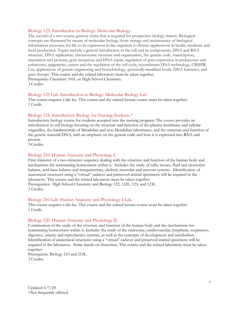#### Biology 123. Introduction to Biology: Molecular Biology.

The second of a two-course gateway series that is required for prospective biology majors. Biological concepts are illustrated by means of molecular biology, from storage and maintenance of biological information necessary for life to its expression in the organism to diverse applications in health, medicine and food production. Topics include a general introduction to the cell and its components, DNA and RNA structure, DNA replication, chromosome structure and organization, the genetic code, transcription, translation and proteins, gene mutations and DNA repair, regulation of gene expression in prokaryotes and eukaryotes, epigenetics, cancer and the regulation of the cell cycle, recombinant DNA technology, CRISPR-Cas, applications of genetic engineering and biotechnology, genetically modified foods, DNA forensics, and gene therapy. This course and the related laboratory must be taken together. Prerequisite: Chemistry 101L or High School Chemistry. 3 Credits.

#### Biology 123 Lab. Introduction to Biology: Molecular Biology Lab.

This course requires a lab fee. This course and the related lecture course must be taken together. 1 Credit.

#### Biology 124. Introductory Biology for Nursing Students.\*

Introductory biology course for students accepted into the nursing program. The course provides an introduction to cell biology focusing on the structure and function of the plasma membrane and cellular organelles, the fundamentals of Mendelian and non-Mendelian inheritance, and the structure and function of the genetic material DNA, with an emphasis on the genetic code and how it is expressed into RNA and protein.

3 Credits.

#### Biology 210. Human Anatomy and Physiology I.

First trimester of a two-trimester sequence dealing with the structure and function of the human body and mechanisms for maintaining homeostasis within it. Includes the study of cells, tissues, fluid and electrolyte balance, acid-base balance and integumentary, skeletal, muscular and nervous systems. Identification of anatomical structures using a "virtual" cadaver and preserved animal specimens will be required in the laboratory. This course and the related laboratory must be taken together. Prerequisites: High School Chemistry and Biology 122, 122L, 123, and 123L. 3 Credits.

#### Biology 210 Lab. Human Anatomy and Physiology I Lab.

This course requires a lab fee. This course and the related lecture course must be taken together. 1 Credit.

#### Biology 220. Human Anatomy and Physiology II.

Continuation of the study of the structure and function of the human body and the mechanisms for maintaining homeostasis within it. Includes the study of the endocrine, cardiovascular, lymphatic, respiratory, digestive, urinary and reproductive systems, as well as the concepts of development and metabolism. Identification of anatomical structures using a "virtual" cadaver and preserved animal specimens will be required in the laboratory. Some hands-on dissection. This course and the related laboratory must be taken together.

Prerequisite: Biology 210 and 210L. 3 Credits.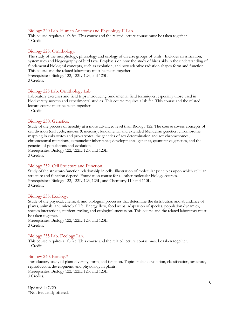#### Biology 220 Lab. Human Anatomy and Physiology II Lab.

This course requires a lab fee. This course and the related lecture course must be taken together. 1 Credit.

#### Biology 225. Ornithology.

The study of the morphology, physiology and ecology of diverse groups of birds. Includes classification, systematics and biogeography of bird taxa. Emphasis on how the study of birds aids in the understanding of fundamental biological concepts, such as evolution; and how adaptive radiation shapes form and function. This course and the related laboratory must be taken together. Prerequisites: Biology 122, 122L, 123, and 123L. 3 Credits.

# Biology 225 Lab. Ornithology Lab.

Laboratory exercises and field trips introducing fundamental field techniques, especially those used in biodiversity surveys and experimental studies. This course requires a lab fee. This course and the related lecture course must be taken together. 1 Credit.

#### Biology 230. Genetics.

Study of the process of heredity at a more advanced level than Biology 122. The course covers concepts of cell division (cell cycle, mitosis & meiosis), fundamental and extended Mendelian genetics, chromosome mapping in eukaryotes and prokaryotes, the genetics of sex determination and sex chromosomes, chromosomal mutations, extranuclear inheritance; developmental genetics, quantitative genetics, and the genetics of populations and evolution.

Prerequisites: Biology 122, 122L, 123, and 123L. 3 Credits.

#### Biology 232. Cell Structure and Function.

Study of the structure-function relationship in cells. Illustration of molecular principles upon which cellular structure and function depend. Foundation course for all other molecular biology courses. Prerequisites: Biology 122, 122L, 123, 123L, and Chemistry 110 and 110L. 3 Credits.

#### Biology 235. Ecology.

Study of the physical, chemical, and biological processes that determine the distribution and abundance of plants, animals, and microbial life. Energy flow, food webs, adaptation of species, population dynamics, species interactions, nutrient cycling, and ecological succession. This course and the related laboratory must be taken together.

Prerequisites: Biology 122, 122L, 123, and 123L. 3 Credits.

#### Biology 235 Lab. Ecology Lab.

This course requires a lab fee. This course and the related lecture course must be taken together. 1 Credit.

#### Biology 240. Botany.\*

Introductory study of plant diversity, form, and function. Topics include evolution, classification, structure, reproduction, development, and physiology in plants. Prerequisites: Biology 122, 122L, 123, and 123L. 3 Credits.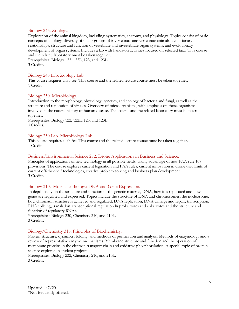#### Biology 245. Zoology.

Exploration of the animal kingdom, including: systematics, anatomy, and physiology. Topics consist of basic concepts of zoology, diversity of major groups of invertebrate and vertebrate animals, evolutionary relationships, structure and function of vertebrate and invertebrate organ systems, and evolutionary development of organ systems. Includes a lab with hands-on activities focused on selected taxa. This course and the related laboratory must be taken together.

Prerequisites: Biology 122, 122L, 123, and 123L. 3 Credits.

#### Biology 245 Lab. Zoology Lab.

This course requires a lab fee. This course and the related lecture course must be taken together. 1 Credit.

#### Biology 250. Microbiology.

Introduction to the morphology, physiology, genetics, and ecology of bacteria and fungi, as well as the structure and replication of viruses. Overview of microorganisms, with emphasis on those organisms involved in the natural history of human disease. This course and the related laboratory must be taken together.

Prerequisites: Biology 122, 122L, 123, and 123L. 3 Credits.

#### Biology 250 Lab. Microbiology Lab.

This course requires a lab fee. This course and the related lecture course must be taken together. 1 Credit.

#### Business/Environmental Science 272. Drone Applications in Business and Science.

Principles of applications of new technology in all possible fields, taking advantage of new FAA rule 107 provisions. The course explores current legislation and FAA rules, current innovation in drone use, limits of current off-the-shelf technologies, creative problem solving and business plan development. 3 Credits.

#### Biology 310. Molecular Biology: DNA and Gene Expression.

In depth study on the structure and function of the genetic material, DNA, how it is replicated and how genes are regulated and expressed. Topics include the structure of DNA and chromosomes, the nucleosome, how chromatin structure is achieved and regulated, DNA replication, DNA damage and repair, transcription, RNA splicing, translation, transcriptional regulation in prokaryotes and eukaryotes and the structure and function of regulatory RNAs.

Prerequisites: Biology 230, Chemistry 210, and 210L. 3 Credits.

#### Biology/Chemistry 315. Principles of Biochemistry.

Protein structure, dynamics, folding, and methods of purification and analysis. Methods of enzymology and a review of representative enzyme mechanisms. Membrane structure and function and the operation of membrane proteins in the electron transport chain and oxidative phosphorylation. A special topic of protein science explored in student projects.

Prerequisites: Biology 232, Chemistry 210, and 210L. 3 Credits.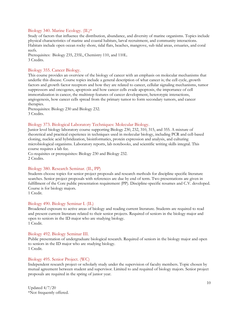#### Biology 340. Marine Ecology. (IL)\*

Study of factors that influence the distribution, abundance, and diversity of marine organisms. Topics include physical characteristics of marine and coastal habitats, larval recruitment, and community interactions. Habitats include open ocean rocky shore, tidal flats, beaches, mangrove, sub tidal areas, estuaries, and coral reefs.

Prerequisites: Biology 235, 235L, Chemistry 110, and 110L. 3 Credits.

#### Biology 355. Cancer Biology.

This course provides an overview of the biology of cancer with an emphasis on molecular mechanisms that underlie this disease. Course topics include a general description of what cancer is; the cell cycle, growth factors and growth factor receptors and how they are related to cancer, cellular signaling mechanisms, tumor suppressors and oncogenes, apoptosis and how cancer cells evade apoptosis, the importance of cell immortalization in cancer, the multistep features of cancer development, heterotypic interactions, angiogenesis, how cancer cells spread from the primary tumor to form secondary tumors, and cancer therapies.

Prerequisites: Biology 230 and Biology 232. 3 Credits.

#### Biology 373. Biological Laboratory Techniques: Molecular Biology.

Junior level biology laboratory course supporting Biology 230, 232, 310, 315, and 355. A mixture of theoretical and practical experience in techniques used in molecular biology, including PCR and cell-based cloning, nucleic acid hybridization, bioinformatics, protein expression and analysis, and culturing microbiological organisms. Laboratory reports, lab notebooks, and scientific writing skills integral. This course requires a lab fee.

Co-requisites or prerequisites: Biology 230 and Biology 232. 2 Credits.

#### Biology 380. Research Seminar. (IL, PP)

Students choose topics for senior project proposals and research methods for discipline specific literature searches. Senior project proposals with references are due by end of term. Two presentations are given in fulfillment of the Core public presentation requirement (PP). Discipline-specific resumes and C.V. developed. Course is for biology majors.

1 Credit.

#### Biology 490. Biology Seminar I. (IL)

Broadened exposure to active areas of biology and reading current literature. Students are required to read and present current literature related to their senior projects. Required of seniors in the biology major and open to seniors in the ID major who are studying biology. 1 Credit.

#### Biology 492. Biology Seminar III.

Public presentation of undergraduate biological research. Required of seniors in the biology major and open to seniors in the ID major who are studying biology. 1 Credit.

#### Biology 495. Senior Project. (WC)

Independent research project or scholarly study under the supervision of faculty members. Topic chosen by mutual agreement between student and supervisor. Limited to and required of biology majors. Senior project proposals are required in the spring of junior year.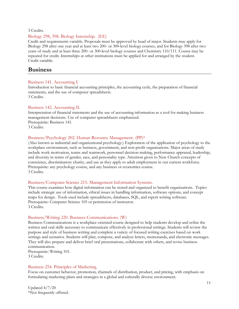#### 3 Credits.

#### Biology 298, 398. Biology Internship. (EE)

Credit and requirements variable. Proposals must be approved by head of major. Students may apply for Biology 298 after one year and at least two 200- or 300-level biology courses, and for Biology 398 after two years of study and at least three 200- or 300-level biology courses and Chemistry 110/111. Course may be repeated for credit. Internships at other institutions must be applied for and arranged by the student. Credit variable.

#### <span id="page-10-0"></span>**Business**

#### Business 141. Accounting I.

Introduction to basic financial accounting principles, the accounting cycle, the preparation of financial statements, and the use of computer spreadsheets. 3 Credits.

#### Business 142. Accounting II.

Interpretation of financial statements and the use of accounting information as a tool for making business management decisions. Use of computer spreadsheets emphasized. Prerequisite: Business 141. 3 Credits.

#### Business/Psychology 202. Human Resource Management. (PP)\*

(Also known as industrial and organizational psychology.) Exploration of the application of psychology to the workplace environment, such as business, government, and non-profit organizations. Major areas of study include work motivation, teams and teamwork, personnel decision-making, performance appraisal, leadership, and diversity in terms of gender, race, and personality type. Attention given to New Church concepts of conscience, discriminatory charity, and use as they apply to adult employment in our current workforce. Prerequisite: any psychology course, and any business or economics course. 3 Credits.

#### Business/Computer Science 215. Management Information Systems.

This course examines how digital information can be stored and organized to benefit organizations. Topics include strategic use of information, ethical issues in handling information, software options, and concept maps for design. Tools used include spreadsheets, databases, SQL, and report writing software. Prerequisite: Computer Science 105 or permission of instructor. 3 Credits.

#### Business/Writing 220. Business Communications. (W)

Business Communications is a workplace-oriented course designed to help students develop and refine the written and oral skills necessary to communicate effectively in professional settings. Students will review the purpose and style of business writing and complete a variety of focused writing exercises based on work settings and scenarios. Students will plan, compose, and analyze letters, memoranda, and electronic messages. They will also prepare and deliver brief oral presentations, collaborate with others, and revise business communication.

Prerequisite: Writing 101. 3 Credits.

#### Business 254. Principles of Marketing.

Focus on customer behavior, promotion, channels of distribution, product, and pricing, with emphasis on formulating marketing plans and strategies in a global and culturally diverse environment.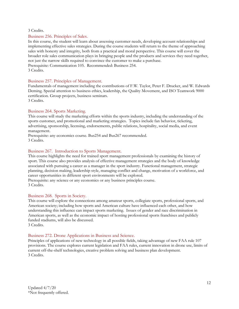#### 3 Credits.

#### Business 256. Principles of Sales.

In this course, the student will learn about assessing customer needs, developing account relationships and implementing effective sales strategies. During the course students will return to the theme of approaching sales with honesty and integrity, both from a practical and moral perspective. This course will cover the broader role sales communication plays in bringing people and the products and services they need together, not just the narrow skills required to convince the customer to make a purchase. Prerequisite: Communication 105. Recommended: Business 254. 3 Credits.

#### Business 257. Principles of Management.

Fundamentals of management including the contributions of F.W. Taylor, Peter F. Drucker, and W. Edwards Deming. Special attention to business ethics, leadership, the Quality Movement, and ISO Teamwork 9000 certification. Group projects, business seminars. 3 Credits.

#### Business 264. Sports Marketing.

This course will study the marketing efforts within the sports industry, including the understanding of the sports customer, and promotional and marketing strategies. Topics include fan behavior, ticketing, advertising, sponsorship, licensing, endorsements, public relations, hospitality, social media, and event management.

Prerequisite: any economics course. Bus254 and Bus267 recommended. 3 Credits.

#### Business 267. Introduction to Sports Management.

This course highlights the need for trained sport management professionals by examining the history of sport. This course also provides analysis of effective management strategies and the body of knowledge associated with pursuing a career as a manager in the sport industry. Functional management, strategic planning, decision making, leadership style, managing conflict and change, motivation of a workforce, and career opportunities in different sport environments will be explored.

Prerequisite: any science or any economics or any business principles course. 3 Credits.

#### Business 268. Sports in Society.

This course will explore the connections among amateur sports, collegiate sports, professional sports, and American society; including how sports and American culture have influenced each other, and how understanding this influence can impact sports marketing. Issues of gender and race discrimination in American sports, as well as the economic impact of hosting professional sports franchises and publicly funded stadiums, will also be discussed. 3 Credits.

#### Business 272. Drone Applications in Business and Science.

Principles of applications of new technology in all possible fields, taking advantage of new FAA rule 107 provisions. The course explores current legislation and FAA rules, current innovation in drone use, limits of current off-the-shelf technologies, creative problem solving and business plan development. 3 Credits.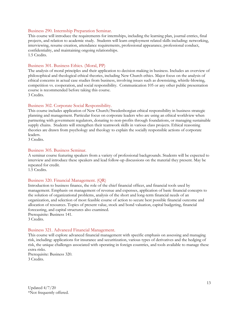#### Business 290. Internship Preparation Seminar.

This course will introduce the requirements for internships, including the learning plan, journal entries, final projects, and relation to academic study. Students will learn employment related skills including: networking, interviewing, resume creation, attendance requirements, professional appearance, professional conduct, confidentiality, and maintaining ongoing relationships. 1.5 Credits.

#### Business 301. Business Ethics. (Moral, PP)

The analysis of moral principles and their application to decision making in business. Includes an overview of philosophical and theological ethical theories, including New Church ethics. Major focus on the analysis of ethical concerns in actual case studies from business, involving issues such as downsizing, whistle-blowing, competition vs. cooperation, and social responsibility. Communication 105 or any other public presentation course is recommended before taking this course. 3 Credits.

#### Business 302. Corporate Social Responsibility.

This course includes application of New Church/Swedenborgian ethical responsibility in business strategic planning and management. Particular focus on corporate leaders who are using an ethical worldview when partnering with government regulators, donating to non-profits through foundations, or managing sustainable supply chains. Students will strengthen their teamwork skills in various class projects. Ethical reasoning theories are drawn from psychology and theology to explain the socially responsible actions of corporate leaders.

3 Credits.

#### Business 305. Business Seminar.

A seminar course featuring speakers from a variety of professional backgrounds. Students will be expected to interview and introduce these speakers and lead follow-up discussions on the material they present. May be repeated for credit.

1.5 Credits.

#### Business 320. Financial Management. (QR)

Introduction to business finance, the role of the chief financial officer, and financial tools used by management. Emphasis on management of revenue and expenses, application of basic financial concepts to the solution of organizational problems, analysis of the short and long-term financial needs of an organization, and selection of most feasible course of action to secure best possible financial outcome and allocation of resources. Topics of present value, stock and bond valuation, capital budgeting, financial forecasting, and capital structures also examined.

Prerequisite: Business 141. 3 Credits.

#### Business 321. Advanced Financial Management.

This course will explore advanced financial management with specific emphasis on assessing and managing risk, including: applications for insurance and securitization, various types of derivatives and the hedging of risk, the unique challenges associated with operating in foreign countries, and tools available to manage these extra risks.

Prerequisite: Business 320. 3 Credits.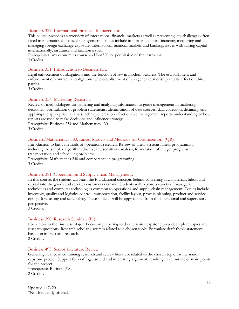#### Business 327. International Financial Management.

This course provides an overview of international financial markets as well as presenting key challenges often faced in international financial management. Topics include import and export financing, measuring and managing foreign exchange exposure, international financial markets and banking, issues with raising capital internationally, insurance and taxation issues.

Prerequisites: any economics course and Bus320, or permission of the instructor. 3 Credits.

#### Business 351. Introduction to Business Law.

Legal enforcement of obligations and the function of law in modern business. The establishment and enforcement of contractual obligations. The establishment of an agency relationship and its effect on third parties.

3 Credits.

#### Business 354. Marketing Research.

Review of methodologies for gathering and analyzing information to guide management in marketing decisions. Formulation of problem statements, identification of data sources, data collection, demining and applying the appropriate analysis technique, creation of actionable management reports understanding of how reports are used to make decisions and influence strategy.

Prerequisite: Business 254 and Mathematics 130. 3 Credits.

#### Business/Mathematics 380. Linear Models and Methods for Optimization. (QR)

Introduction to basic methods of operations research. Review of linear systems; linear programming, including the simplex algorithm, duality, and sensitivity analysis; formulation of integer programs; transportation and scheduling problems.

Prerequisite: Mathematics 240 and competence in programming. 3 Credits.

#### Business 381. Operations and Supply Chain Management.

In this course, the student will learn the foundational concepts behind converting raw materials, labor, and capital into the goods and services customers demand. Students will explore a variety of managerial techniques and computer technologies common to operations and supply chain management. Topics include inventory, quality and logistics control, transportation, facility layout, process planning, product and service design, forecasting and scheduling. These subjects will be approached from the operational and supervisory perspective.

3 Credits.

#### Business 390. Research Seminar. (IL)

For juniors in the Business Major. Focus on preparing to do the senior capstone project. Explore topics and research questions. Research scholarly sources related to a chosen topic. Formulate draft thesis statement based on interest and research.

2 Credits.

#### Business 493. Senior Literature Review.

General guidance in continuing research and review literature related to the chosen topic for the senior capstone project, Support for crafting a sound and interesting argument, resulting in an outline of main points for the project. Prerequisite: Business 390.

2 Credits.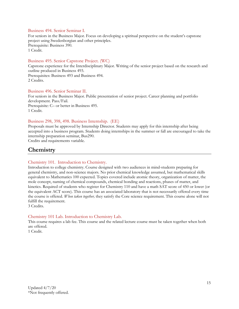#### Business 494. Senior Seminar I.

For seniors in the Business Major. Focus on developing a spiritual perspective on the student's capstone project using Swedenborgian and other principles. Prerequisite: Business 390. 1 Credit.

#### Business 495. Senior Capstone Project. (WC)

Capstone experience for the Interdisciplinary Major. Writing of the senior project based on the research and outline produced in Business 493. Prerequisites: Business 493 and Business 494. 2 Credits.

#### Business 496. Senior Seminar II.

For seniors in the Business Major. Public presentation of senior project. Career planning and portfolio development. Pass/Fail. Prerequisite: C– or better in Business 495. 1 Credit.

#### Business 298, 398, 498. Business Internship. (EE)

Proposals must be approved by Internship Director. Students may apply for this internship after being accepted into a business program. Students doing internships in the summer or fall are encouraged to take the internship preparation seminar, Bus290.

Credits and requirements variable.

## <span id="page-14-0"></span>**Chemistry**

#### Chemistry 101. Introduction to Chemistry.

Introduction to college chemistry. Course designed with two audiences in mind-students preparing for general chemistry, and non-science majors. No prior chemical knowledge assumed, but mathematical skills equivalent to Mathematics 100 expected. Topics covered include atomic theory, organization of matter, the mole concept, naming of chemical compounds, chemical bonding and reactions, phases of matter, and kinetics. Required of students who register for Chemistry 110 and have a math SAT score of 450 or lower (or the equivalent ACT score). This course has an associated laboratory that is not necessarily offered every time the course is offered. *When taken together,* they satisfy the Core science requirement. This course alone will not fulfill the requirement.

3 Credits.

#### Chemistry 101 Lab. Introduction to Chemistry Lab.

This course requires a lab fee. This course and the related lecture course must be taken together when both are offered.

1 Credit.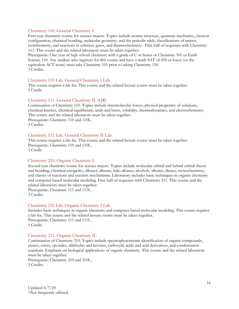#### Chemistry 110. General Chemistry I.

First year chemistry course for science majors. Topics include atomic structure, quantum mechanics, electron configuration, chemical bonding, molecular geometry, and the periodic table, classifications of matter, stoichiometry, and reactions in solution, gases, and thermochemistry. First half of sequence with Chemistry 111. This course and the related laboratory must be taken together.

Prerequisite: One year of high school chemistry with a grade of C or better or Chemistry 101 or Earth Science 110. Any student who registers for this course and have a math SAT of 450 or lower (or the equivalent ACT score) must take Chemistry 101 prior to taking Chemistry 110. 3 Credits.

#### Chemistry 110 Lab. General Chemistry I Lab.

This course requires a lab fee. This course and the related lecture course must be taken together. 1 Credit.

#### Chemistry 111. General Chemistry II. (QR)

Continuation of Chemistry 110. Topics include intermolecular forces, physical properties of solutions, chemical kinetics, chemical equilibrium, acids and bases, solubility, thermodynamics, and electrochemistry. This course and the related laboratory must be taken together. Prerequisite: Chemistry 110 and 110L. 3 Credits.

#### Chemistry 111 Lab. General Chemistry II Lab.

This course requires a lab fee. This course and the related lecture course must be taken together. Prerequisite: Chemistry 110 and 110L. 1 Credit.

#### Chemistry 210. Organic Chemistry I.

Second year chemistry course for science majors. Topics include molecular orbital and hybrid orbital theory and bonding, chemical energetics, alkanes, alkenes, halo alkanes, alcohols, alkynes, dienes, stereochemistry, and classes of reactions and reaction mechanisms. Laboratory includes basic techniques in organic chemistry and computer based molecular modeling. First half of sequence with Chemistry 211. This course and the related laboratory must be taken together.

Prerequisite: Chemistry 111 and 111L. 3 Credits.

#### Chemistry 210 Lab. Organic Chemistry I Lab.

Includes basic techniques in organic chemistry and computer based molecular modeling. This course requires a lab fee. This course and the related lecture course must be taken together. Prerequisite: Chemistry 111 and 111L. 1 Credit.

#### Chemistry 211. Organic Chemistry II.

Continuation of Chemistry 210. Topics include spectrophotometric identification of organic compounds, arenes, esters, epoxides, aldehydes and ketones, carboxylic acids and acid derivatives, and condensation reactions. Emphasis on biological applications of organic chemistry. This course and the related laboratory must be taken together.

Prerequisite: Chemistry 210 and 210L. 3 Credits.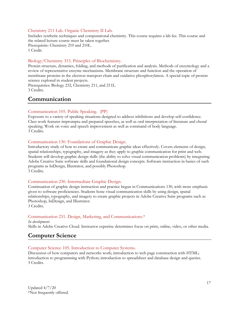#### Chemistry 211 Lab. Organic Chemistry II Lab.

Includes synthetic techniques and computational chemistry. This course requires a lab fee. This course and the related lecture course must be taken together.

Prerequisite: Chemistry 210 and 210L. 1 Credit.

#### Biology/Chemistry 315. Principles of Biochemistry.

Protein structure, dynamics, folding, and methods of purification and analysis. Methods of enzymology and a review of representative enzyme mechanisms. Membrane structure and function and the operation of membrane proteins in the electron transport chain and oxidative phosphorylation. A special topic of protein science explored in student projects.

Prerequisites: Biology 232, Chemistry 211, and 211L. 3 Credits.

# <span id="page-16-0"></span>**Communication**

#### Communication 105. Public Speaking. (PP)

Exposure to a variety of speaking situations designed to address inhibitions and develop self-confidence. Class work features impromptu and prepared speeches, as well as oral interpretation of literature and choral speaking. Work on voice and speech improvement as well as command of body language. 3 Credits.

#### Communication 130. Foundations of Graphic Design.

Introductory study of how to create and communicate graphic ideas effectively. Covers elements of design, spatial relationships, typography, and imagery as they apply to graphic communication for print and web. Students will develop graphic design skills (the ability to solve visual communication problems) by integrating Adobe Creative Suite software skills and foundational design concepts. Software instruction in basics of such programs as InDesign, Illustrator, and possibly Photoshop. 3 Credits.

#### Communication 230. Intermediate Graphic Design.

Continuation of graphic design instruction and practice begun in Communications 130, with more emphasis given to software proficiencies. Students hone visual communication skills by using design, spatial relationships, typography, and imagery to create graphic projects in Adobe Creative Suite programs such as Photoshop, InDesign, and Illustrator. 3 Credits.

#### Communication 231. Design, Marketing, and Communications.\*

*In development*. Skills in Adobe Creative Cloud. Instructor expertise determines focus on print, online, video, or other media.

# <span id="page-16-1"></span>**Computer Science**

#### Computer Science 105. Introduction to Computer Systems.

Discussion of how computers and networks work; introduction to web page construction with HTML; introduction to programming with Python; introduction to spreadsheet and database design and queries. 3 Credits.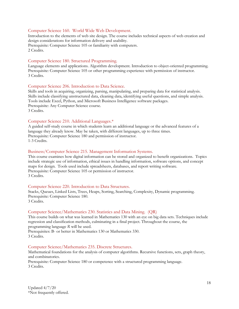#### Computer Science 160. World Wide Web Development.

Introduction to the elements of web site design. The course includes technical aspects of web creation and design considerations for information delivery and usability. Prerequisite: Computer Science 105 or familiarity with computers. 2 Credits.

#### Computer Science 180. Structured Programming.

Language elements and applications. Algorithm development. Introduction to object-oriented programming. Prerequisite: Computer Science 105 or other programming experience with permission of instructor. 3 Credits.

#### Computer Science 206. Introduction to Data Science.

Skills and tools in acquiring, organizing, parsing, manipulating, and preparing data for statistical analysis. Skills include classifying unstructured data, cleaning data, identifying useful questions, and simple analysis. Tools include Excel, Python, and Microsoft Business Intelligence software packages. Prerequisite: Any Computer Science course. 3 Credits.

#### Computer Science 210. Additional Languages.\*

A guided self-study course in which students learn an additional language or the advanced features of a language they already know. May be taken, with different languages, up to three times. Prerequisite: Computer Science 180 and permission of instructor. 1-3 Credits.

#### Business/Computer Science 215. Management Information Systems.

This course examines how digital information can be stored and organized to benefit organizations. Topics include strategic use of information, ethical issues in handling information, software options, and concept maps for design. Tools used include spreadsheets, databases, and report writing software. Prerequisite: Computer Science 105 or permission of instructor. 3 Credits.

#### Computer Science 220. Introduction to Data Structures.

Stacks, Queues, Linked Lists, Trees, Heaps, Sorting, Searching, Complexity, Dynamic programming. Prerequisite: Computer Science 180. 3 Credits.

#### Computer Science/Mathematics 230. Statistics and Data Mining. (QR)

This course builds on what was learned in Mathematics 130 with an eye on big data sets. Techniques include regression and classification methods, culminating in a final project. Throughout the course, the programming language *R* will be used.

Prerequisites: B- or better in Mathematics 130 or Mathematics 330. 3 Credits.

#### Computer Science/Mathematics 235. Discrete Structures.

Mathematical foundations for the analysis of computer algorithms. Recursive functions, sets, graph theory, and combinatorics.

Prerequisite: Computer Science 180 or competence with a structured programming language. 3 Credits.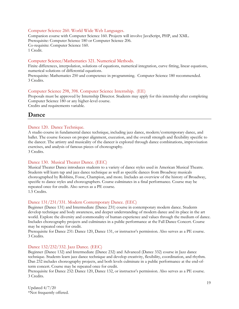#### Computer Science 260. World Wide Web Languages.

Companion course with Computer Science 160. Projects will involve JavaScript, PHP, and XML. Prerequisite: Computer Science 180 or Computer Science 206. Co-requisite: Computer Science 160. 1 Credit.

#### Computer Science/Mathematics 321. Numerical Methods.

Finite differences, interpolation, solutions of equations, numerical integration, curve fitting, linear equations, numerical solutions of differential equations.

Prerequisite: Mathematics 250 and competence in programming. Computer Science 180 recommended. 3 Credits.

#### Computer Science 298, 398. Computer Science Internship. (EE)

Proposals must be approved by Internship Director. Students may apply for this internship after completing Computer Science 180 or any higher-level course.

Credits and requirements variable.

#### <span id="page-18-0"></span>**Dance**

#### Dance 120. Dance Technique.

A studio course in fundamental dance technique, including jazz dance, modern/contemporary dance, and ballet. The course focuses on proper alignment, execution, and the overall strength and flexibility specific to the dancer. The artistry and musicality of the dancer is explored through dance combinations, improvisation exercises, and analysis of famous pieces of choreography. 3 Credits.

#### Dance 130. Musical Theater Dance. (EEC)

Musical Theater Dance introduces students to a variety of dance styles used in American Musical Theatre. Students will learn tap and jazz dance technique as well as specific dances from Broadway musicals choreographed by Robbins, Fosse, Champion, and more. Includes an overview of the history of Broadway, specific to dance styles and choreographers. Course culminates in a final performance. Course may be repeated once for credit. Also serves as a PE course. 1.5 Credits.

#### Dance 131/231/331. Modern Contemporary Dance. (EEC)

Beginner (Dance 131) and Intermediate (Dance 231) course in contemporary modern dance. Students develop technique and body awareness, and deeper understanding of modern dance and its place in the art world. Explore the diversity and commonality of human experience and values through the medium of dance. Includes choreography projects and culminates in a public performance at the Fall Dance Concert. Course may be repeated once for credit.

Prerequisite for Dance 231: Dance 120, Dance 131, or instructor's permission. Also serves as a PE course. 3 Credits.

#### Dance 132/232/332. Jazz Dance. (EEC)

Beginner (Dance 132) and Intermediate (Dance 232) and Advanced (Dance 332) course in Jazz dance technique. Students learn jazz dance technique and develop creativity, flexibility, coordination, and rhythm. Dan 232 includes choreography projects, and both levels culminate in a public performance at the end-ofterm concert. Course may be repeated once for credit.

Prerequisite for Dance 232: Dance 120, Dance 132, or instructor's permission. Also serves as a PE course. 3 Credits.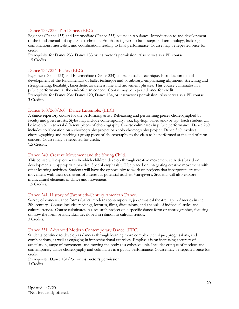#### Dance 133/233. Tap Dance. (EEC)

Beginner (Dance 133) and Intermediate (Dance 233) course in tap dance. Introduction to and development of the fundamentals of tap dance technique. Emphasis is given to basic steps and terminology, building combinations, musicality, and coordination, leading to final performance. Course may be repeated once for credit.

Prerequisite for Dance 233: Dance 133 or instructor's permission. Also serves as a PE course. 1.5 Credits.

#### Dance 134/234. Ballet. (EEC)

Beginner (Dance 134) and Intermediate (Dance 234) course in ballet technique. Introduction to and development of the fundamentals of ballet technique and vocabulary, emphasizing alignment, stretching and strengthening, flexibility, kinesthetic awareness, line and movement phrases. This course culminates in a public performance at the end-of-term concert. Course may be repeated once for credit. Prerequisite for Dance 234: Dance 120, Dance 134, or instructor's permission. Also serves as a PE course. 3 Credits.

#### Dance 160/260/360. Dance Ensemble. (EEC)

A dance repertory course for the performing artist. Rehearsing and performing pieces choreographed by faculty and guest artists. Styles may include contemporary, jazz, hip-hop, ballet, and/or tap. Each student will be involved in several different pieces of choreography. Course culminates in public performance. Dance 260 includes collaboration on a choreography project or a solo choreography project. Dance 360 involves choreographing and teaching a group piece of choreography to the class to be performed at the end of term concert. Course may be repeated for credit.

1.5 Credits.

#### Dance 240. Creative Movement and the Young Child.

This course will explore ways in which children develop through creative movement activities based on developmentally appropriate practice. Special emphasis will be placed on integrating creative movement with other learning activities. Students will have the opportunity to work on projects that incorporate creative movement with their own areas of interest as potential teachers/caregivers. Students will also explore multicultural elements of dance and movement. 1.5 Credits.

#### Dance 241. History of Twentieth-Century American Dance.

Survey of concert dance forms (ballet, modern/contemporary, jazz/musical theatre, tap in America in the 20th century. Course includes readings, lectures, films, discussions, and analysis of individual styles and cultural trends. Course culminates in a research project on a specific dance form or choreographer, focusing on how the form or individual developed in relation to cultural trends. 3 Credits.

#### Dance 331. Advanced Modern Contemporary Dance. (EEC)

Students continue to develop as dancers through learning more complex technique, progressions, and combinations, as well as engaging in improvisational exercises. Emphasis is on increasing accuracy of articulation, range of movement, and moving the body as a cohesive unit. Includes critique of modern and contemporary dance choreography and culminates in a public performance. Course may be repeated once for credit.

Prerequisite: Dance 131/231 or instructor's permission. 3 Credits.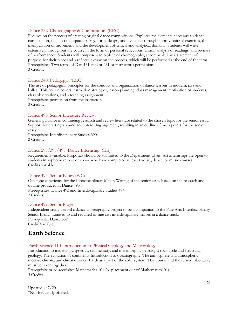#### Dance 332. Choreography & Composition. (EEC)

Focuses on the process of creating original dance compositions. Explores the elements necessary to dance composition, such as time, space, energy, form, design, and dynamics through improvisational exercises, the manipulation of movement, and the development of critical and analytical thinking. Students will write extensively throughout the course in the form of personal reflections, critical analysis of readings, and reviews of performances. Students will compose a solo piece of choreography, accompanied by a statement of purpose for their piece and a reflective essay on the process, which will be performed at the end of the term. Prerequisites: Two terms of Dan 131 and/or 231 or instructor's permission. 3 Credits.

#### Dance 340. Pedagogy. (EEC)

The use of pedagogical principles for the conduct and organization of dance lessons in modern, jazz and ballet. This course covers instruction strategies, lesson planning, class management, motivation of students, class observations, and a teaching assignment.

Prerequisite: permission from the instructor. 3 Credits.

#### Dance 493. Senior Literature Review.

General guidance in continuing research and review literature related to the chosen topic for the senior essay. Support for crafting a sound and interesting argument, resulting in an outline of main points for the senior essay.

Prerequisite: Interdisciplinary Studies 390. 2 Credits.

#### Dance 298/398/498. Dance Internship. (EE)

Requirements variable. Proposals should be submitted to the Department Chair. Art internships are open to students in sophomore year or above who have completed at least two art, dance, or music courses. Credits variable.

#### Dance 495. Senior Essay. (WC)

Capstone experience for the Interdisciplinary Major. Writing of the senior essay based on the research and outline produced in Dance 493. Prerequisites: Dance 493 and Interdisciplinary Studies 494.

2 Credits.

#### Dance 499. Senior Project.

Independent study toward a dance choreography project to be a companion to the Fine Arts Interdisciplinary Senior Essay. Limited to and required of fine arts interdisciplinary majors in a dance track. Prerequisite: Dance 332. Credit Variable.

#### <span id="page-20-0"></span>**Earth Science**

Earth Science 110. Introduction to Physical Geology and Meteorology.

Introduction to mineralogy; igneous, sedimentary, and metamorphic petrology; rock cycle and structural geology. The evolution of continents Introduction to oceanography. The atmosphere and atmospheric motion, climate, and climatic zones. Earth as a part of the solar system. This course and the related laboratory must be taken together.

Prerequisite or co-requisite: Mathematics 101 (or placement out of Mathematics101). 3 Credits.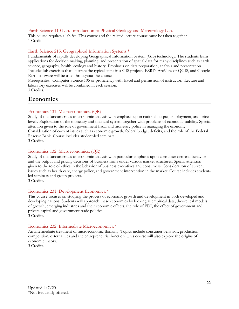#### Earth Science 110 Lab. Introduction to Physical Geology and Meteorology Lab.

This course requires a lab fee. This course and the related lecture course must be taken together. 1 Credit.

#### Earth Science 215. Geographical Information Systems.\*

Fundamentals of rapidly developing Geographical Information System (GIS) technology. The students learn applications for decision making, planning, and presentation of spatial data for many disciplines such as earth science, geography, health, ecology and history. Emphasis on data preparation, analysis and presentation. Includes lab exercises that illustrate the typical steps in a GIS project. ESRI's ArcView or QGIS, and Google Earth software will be used throughout the course.

Prerequisites: Computer Science 105 or proficiency with Excel and permission of instructor. Lecture and laboratory exercises will be combined in each session. 3 Credits.

### <span id="page-21-0"></span>**Economics**

#### Economics 131. Macroeconomics. (QR)

Study of the fundamentals of economic analysis with emphasis upon national output, employment, and price levels. Exploration of the monetary and financial system together with problems of economic stability. Special attention given to the role of government fiscal and monetary policy in managing the economy. Consideration of current issues such as economic growth, federal budget deficits, and the role of the Federal Reserve Bank. Course includes student-led seminars.

3 Credits.

#### Economics 132. Microeconomics. (QR)

Study of the fundamentals of economic analysis with particular emphasis upon consumer demand behavior and the output and pricing decisions of business firms under various market structures. Special attention given to the role of ethics in the behavior of business executives and consumers. Consideration of current issues such as health care, energy policy, and government intervention in the market. Course includes studentled seminars and group projects.

3 Credits.

#### Economics 231. Development Economics.\*

This course focuses on studying the process of economic growth and development in both developed and developing nations. Students will approach these economies by looking at empirical data, theoretical models of growth, emerging industries and their economic effects, the role of FDI, the effect of government and private capital and government trade policies. 3 Credits.

### Economics 232. Intermediate Microeconomics.\*

An intermediate treatment of microeconomic thinking. Topics include consumer behavior, production, competition, externalities and the entrepreneurial function. This course will also explore the origins of economic theory.

3 Credits.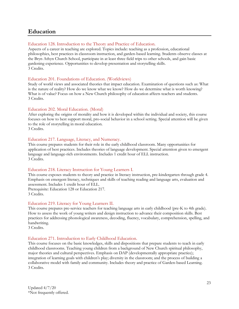# <span id="page-22-0"></span>**Education**

#### Education 128. Introduction to the Theory and Practice of Education.

Aspects of a career in teaching are explored. Topics include: teaching as a profession, educational philosophies, best practices in classroom instruction, and garden-based learning. Students observe classes at the Bryn Athyn Church School, participate in at least three field trips to other schools, and gain basic gardening experience. Opportunities to develop presentation and storytelling skills. 3 Credits.

#### Education 201. Foundations of Education. (Worldviews)

Study of world views and associated theories that impact education. Examination of questions such as: What is the nature of reality? How do we know what we know? How do we determine what is worth knowing? What is of value? Focus on how a New Church philosophy of education affects teachers and students. 3 Credits.

#### Education 202. Moral Education. (Moral)

After exploring the origins of morality and how it is developed within the individual and society, this course focuses on how to best support moral, pro-social behavior in a school setting. Special attention will be given to the role of storytelling in moral education.

3 Credits.

#### Education 217. Language, Literacy, and Numeracy.

This course prepares students for their role in the early childhood classroom. Many opportunities for application of best practices. Includes theories of language development. Special attention given to emergent language and language-rich environments. Includes 1 credit hour of ELL instruction. 3 Credits.

#### Education 218. Literacy Instruction for Young Learners I.

This course exposes students to theory and practice in literacy instruction, pre-kindergarten through grade 4. Emphasis on emergent literacy, techniques and skills of teaching reading and language arts, evaluation and assessment. Includes 1 credit hour of ELL.

Prerequisite: Education 128 or Education 217. 3 Credits.

#### Education 219. Literacy for Young Learners II.

This course prepares pre-service teachers for teaching language arts in early childhood (pre-K to 4th grade). How to assess the work of young writers and design instruction to advance their composition skills. Best practices for addressing phonological awareness, decoding, fluency, vocabulary, comprehension, spelling, and handwriting.

3 Credits.

#### Education 271. Introduction to Early Childhood Education.

This course focuses on the basic knowledges, skills and dispositions that prepare students to teach in early childhood classrooms. Teaching young children from a background of New Church spiritual philosophy, major theories and cultural perspectives. Emphasis on DAP (developmentally appropriate practice); integration of learning goals with children's play; diversity in the classroom; and the process of building a collaborative model with family and community. Includes theory and practice of Garden-based Learning. 3 Credits.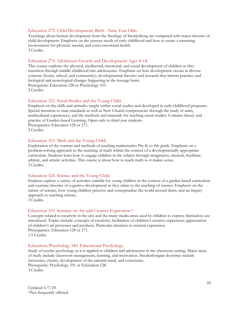#### Education 272. Child Development: Birth - Nine Year Olds.

Teachings about human development from the theology of Swedenborg are compared with major theories of child development. Emphasis on the sensory needs of early childhood and how to create a nurturing environment for physical, mental, and socio-emotional health. 3 Credits.

#### Education 274. Adolescent Growth and Development: Ages 8-18.

This course explores the physical, intellectual, emotional, and social development of children as they transition through middle childhood into adolescence. Emphasis on how development occurs in diverse contexts (home, school, and community); developmental theories and research that inform practice; and biological and neurological changes happening in the teenage brain. Prerequisite: Education 128 or Psychology 101.

3 Credits.

#### Education 322. Social Studies and the Young Child.

Emphasis on the skills and attitudes taught within social studies and developed in early childhood programs. Special attention to state standards as well as New Church competencies through the study of units, multicultural experiences, and the methods and materials for teaching social studies. Contains theory and practice of Garden-based Learning. Open only to third year students. Prerequisites: Education 128 or 271. 3 Credits.

#### Education 323. Math and the Young Child.

Exploration of the content and methods of teaching mathematics Pre-K to 4th grade. Emphasis on a problem-solving approach to the teaching of math within the context of a developmentally appropriate curriculum. Students learn how to engage children in the subject through imaginative, musical, rhythmic, athletic, and artistic activities. This course is about how to teach math so it makes sense. 3 Credits.

#### Education 324. Science and the Young Child.

Students explore a variety of activities suitable for young children in the context of a garden-based curriculum and examine theories of cognitive development as they relate to the teaching of science. Emphasis on the nature of science, how young children perceive and conceptualize the world around them, and an inquiry approach to teaching science.

3 Credits.

#### Education 333. Seminar on Art and Creative Expression.\*

Concepts related to creativity in the arts and the many media areas used by children to express themselves are introduced. Topics include: concepts of creativity; facilitation of children's creative expression; appreciation of children's art processes and products. Particular attention to musical expression. Prerequisites: Education 128 or 271. 1.5 Credits.

#### Education/Psychology 340. Educational Psychology.

Study of secular psychology as it is applied to children and adolescents in the classroom setting. Major areas of study include classroom management, learning, and motivation. Swedenborgian doctrines include innocence, charity, development of the rational mind, and conscience. Prerequisite: Psychology 101 or Education 128.

3 Credits.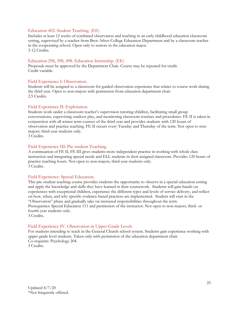#### Education 402. Student Teaching. (EE)

Includes at least 12 weeks of combined observation and teaching in an early childhood education classroom setting, supervised by a teacher from Bryn Athyn College Education Department and by a classroom teacher in the cooperating school. Open only to seniors in the education major. 3-12 Credits.

#### Education 298, 398, 498. Education Internship. (EE)

Proposals must be approved by the Department Chair. Course may be repeated for credit. Credit variable.

#### Field Experience I: Observation.

Students will be assigned to a classroom for guided observation experience that relates to course work during the third year. Open to non-majors with permission from education department chair. 2.5 Credits.

#### Field Experience II: Exploration.

Students work under a classroom teacher's supervision tutoring children, facilitating small group conversations, supervising outdoor play, and monitoring classroom routines and procedures. FE II is taken in conjunction with all winter term courses of the third year and provides students with 120 hours of observation and practice teaching. FE II occurs every Tuesday and Thursday of the term. Not open to nonmajors; third-year students only.

3 Credits.

#### Field Experience III: Pre-student Teaching.

A continuation of FE II, FE III gives students more independent practice in working with whole class instruction and integrating special needs and ELL students in their assigned classroom. Provides 120 hours of practice teaching hours. Not open to non-majors; third-year students only. 3 Credits.

#### Field Experience: Special Education.

This pre-student teaching course provides students the opportunity to observe in a special education setting and apply the knowledge and skills they have learned in their coursework. Students will gain hands-on experiences with exceptional children, experience the different types and levels of service delivery, and reflect on how, when, and why specific evidence-based practices are implemented. Student will start in the "Observation" phase and gradually take on increased responsibilities throughout the term. Prerequisites: Special Education 111 and permission of the instructor. Not open to non-majors; third- or fourth-year students only. 3 Credits.

#### Field Experience IV. Observation in Upper Grade Levels

For students intending to teach in the General Church school system. Students gain experience working with upper grade level students. Taken only with permission of the education department chair. Co-requisite: Psychology 204. 3 Credits.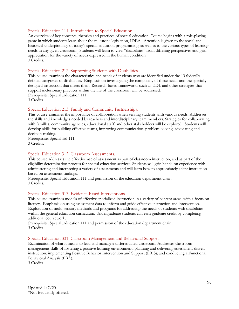#### Special Education 111. Introduction to Special Education.

An overview of key concepts, theories and practices of special education. Course begins with a role-playing game in which students learn about the milestone legislation, IDEA. Attention is given to the social and historical underpinnings of today's special education programming, as well as to the various types of learning needs in any given classroom. Students will learn to view "disabilities" from differing perspectives and gain appreciation for the variety of needs expressed in the human condition. 3 Credits.

#### Special Education 212. Supporting Students with Disabilities.

This course examines the characteristics and needs of students who are identified under the 13 federally defined categories of disabilities. Emphasis on investigating the complexity of these needs and the specially designed instruction that meets them. Research-based frameworks such as UDL and other strategies that support inclusionary practices within the life of the classroom will be addressed. Prerequisite: Special Education 111. 3 Credits.

#### Special Education 213. Family and Community Partnerships.

This course examines the importance of collaboration when serving students with various needs. Addresses the skills and knowledges needed by teachers and interdisciplinary team members. Strategies for collaborating with families, community agencies, educational staff, and other stakeholders will be explored. Students will develop skills for building effective teams, improving communication, problem-solving, advocating and decision-making.

Prerequisite: Special Ed 111. 3 Credits.

#### Special Education 312. Classroom Assessments.

This course addresses the effective use of assessment as part of classroom instruction, and as part of the eligibility determination process for special education services. Students will gain hands-on experience with administering and interpreting a variety of assessments and will learn how to appropriately adapt instruction based on assessment findings.

Prerequisite: Special Education 111 and permission of the education department chair. 3 Credits.

#### Special Education 313. Evidence-based Interventions.

This course examines models of effective specialized instruction in a variety of content areas, with a focus on literacy. Emphasis on using assessment data to inform and guide effective instruction and intervention. Exploration of multi-sensory methods and programs for addressing the needs of students with disabilities within the general education curriculum. Undergraduate students can earn graduate credit by completing additional coursework.

Prerequisite: Special Education 111 and permission of the education department chair. 3 Credits.

#### Special Education 331. Classroom Management and Behavioral Support.

Examination of what it means to lead and manage a differentiated classroom. Addresses classroom management skills of fostering a positive learning environment; planning and delivering assessment-driven instruction; implementing Positive Behavior Intervention and Support (PBIS); and conducting a Functional Behavioral Analysis (FBA).

3 Credits.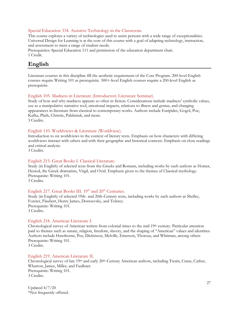#### Special Education 334. Assistive Technology in the Classroom.

This course explores a variety of technologies used to assist persons with a wide range of exceptionalities. Universal Design for Learning is at the core of this course with a goal of adapting technology, instruction, and assessment to meet a range of student needs.

Prerequisites: Special Education 111 and permission of the education department chair. 1 Credit.

# <span id="page-26-0"></span>**English**

Literature courses in this discipline fill the aesthetic requirement of the Core Program. 200-level English courses require Writing 101 as prerequisite. 300+-level English courses require a 200-level English as prerequisite.

#### English 105. Madness in Literature (Introductory Literature Seminar).

Study of how and why madness appears so often in fiction. Considerations include madness' symbolic values, use as a manipulative narrative tool, emotional impacts, relations to illness and genius, and changing appearances in literature from classical to contemporary works. Authors include Euripides, Gogol, Poe, Kafka, Plath, Christie, Palahniuk, and more. 3 Credits.

#### English 110. Worldviews & Literature (Worldview).

Introduction to six worldviews in the context of literary texts. Emphasis on how characters with differing worldviews interact with others and with their geographic and historical contexts. Emphasis on close readings and critical analysis.

3 Credits.

#### English 215. Great Books I. Classical Literature.

Study (in English) of selected texts from the Greeks and Romans, including works by such authors as Homer, Hesiod, the Greek dramatists, Virgil, and Ovid. Emphasis given to the themes of Classical mythology. Prerequisite: Writing 101.

3 Credits.

#### English 217. Great Books III.  $19<sup>th</sup>$  and  $20<sup>th</sup>$  Centuries.

Study (in English) of selected 19th- and 20th-Century texts, including works by such authors as Shelley, Forster, Flaubert, Henry James, Dostoevsky, and Tolstoy. Prerequisite: Writing 101. 3 Credits.

#### English 218. American Literature I.

Chronological survey of American writers from colonial times to the mid 19th century. Particular attention paid to themes such as nature, religion, freedom, slavery, and the shaping of "American" values and identities. Authors include Hawthorne, Poe, Dickinson, Melville, Emerson, Thoreau, and Whitman, among others Prerequisite: Writing 101.

3 Credits.

#### English 219. American Literature II.

Chronological survey of late 19<sup>th</sup> and early 20<sup>th</sup>-Century American authors, including Twain, Crane, Cather, Wharton, James, Miller, and Faulkner. Prerequisite: Writing 101. 3 Credits.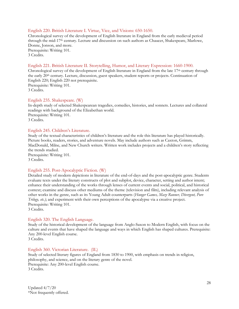#### English 220. British Literature I. Virtue, Vice, and Visions: 650-1650.

Chronological survey of the development of English literature in England from the early medieval period through the mid-17th century. Lecture and discussion on such authors as Chaucer, Shakespeare, Marlowe, Donne, Jonson, and more. Prerequisite: Writing 101. 3 Credits.

#### English 221. British Literature II. Storytelling, Humor, and Literary Expression: 1660-1900.

Chronological survey of the development of English literature in England from the late 17<sup>th</sup> century through the early 20<sup>th</sup> century. Lecture, discussion, guest speakers, student reports or projects. Continuation of English 220; English 220 not prerequisite. Prerequisite: Writing 101. 3 Credits.

#### English 235. Shakespeare. (W)

In-depth study of selected Shakespearean tragedies, comedies, histories, and sonnets. Lectures and collateral readings with background of the Elizabethan world. Prerequisite: Writing 101. 3 Credits.

#### English 245. Children's Literature.

Study of the textual characteristics of children's literature and the role this literature has played historically. Picture books, readers, stories, and adventure novels. May include authors such as Caxton, Grimm, MacDonald, Milne, and New Church writers. Written work includes projects and a children's story reflecting the trends studied. Prerequisite: Writing 101. 3 Credits.

#### English 255. Post-Apocalyptic Fiction. (W)

Detailed study of modern depictions in literature of the end-of-days and the post-apocalyptic genre. Students evaluate texts under the literary constructs of plot and subplot, device, character, setting and author intent; enhance their understanding of the works through lenses of current events and social, political, and historical context; examine and discuss other mediums of the theme (television and film), including relevant analysis of other works in the genre, such as its Young Adult counterparts (*Hunger Games, Maze Runner, Divergent, Pure Trilogy, etc.)*; and experiment with their own perceptions of the apocalypse via a creative project. Prerequisite: Writing 101. 3 Credits.

#### English 320. The English Language.

Study of the historical development of the language from Anglo-Saxon to Modern English, with focus on the culture and events that have shaped the language and ways in which English has shaped cultures. Prerequisite: Any 200-level English course.

3 Credits.

#### English 360. Victorian Literature. (IL)

Study of selected literary figures of England from 1830 to 1900, with emphasis on trends in religion, philosophy, and science, and on the literary genre of the novel. Prerequisite: Any 200-level English course. 3 Credits.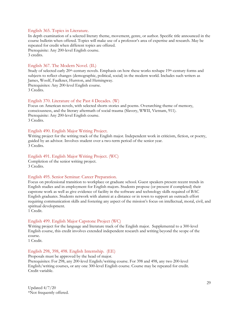#### English 365. Topics in Literature.

In depth examination of a selected literary theme, movement, genre, or author. Specific title announced in the course bulletin when offered. Topics will make use of a professor's area of expertise and research. May be repeated for credit when different topics are offered. Prerequisite: Any 200-level English course. 3 credits.

#### English 367. The Modern Novel. (IL)

Study of selected early 20<sup>th</sup>-century novels. Emphasis on how these works reshape 19<sup>th</sup>-century forms and subjects to reflect changes (demographic, political, social) in the modern world. Includes such writers as James, Woolf, Faulkner, Hurston, and Hemingway.

Prerequisites: Any 200-level English course. 3 Credits.

#### English 370. Literature of the Past 4 Decades. (W)

Focus on American novels, with selected shorts stories and poems. Overarching theme of memory, consciousness, and the literary aftermath of social trauma (Slavery, WWII, Vietnam, 911). Prerequisite: Any 200-level English course. 3 Credits.

#### English 490. English Major Writing Project.

Writing project for the writing track of the English major. Independent work in criticism, fiction, or poetry, guided by an advisor. Involves student over a two-term period of the senior year. 3 Credits.

#### English 491. English Major Writing Project. (WC)

Completion of the senior writing project. 3 Credits.

#### English 495. Senior Seminar: Career Preparation.

Focus on professional transition to workplace or graduate school. Guest speakers present recent trends in English studies and in employment for English majors. Students propose (or present if completed) their capstone work as well as give evidence of facility in the software and technology skills required of BAC English graduates. Students network with alumni at a distance or in town to support an outreach effort requiring communication skills and fostering any aspect of the mission's focus on intellectual, moral, civil, and spiritual development.

1 Credit.

#### English 499. English Major Capstone Project (WC)

Writing project for the language and literature track of the English major. Supplemental to a 300-level English course, this credit involves extended independent research and writing beyond the scope of the course.

1 Credit.

#### English 298, 398, 498. English Internship. (EE)

Proposals must be approved by the head of major. Prerequisites: For 298, any 200-level English/writing course. For 398 and 498, any two 200-level English/writing courses, or any one 300-level English course. Course may be repeated for credit. Credit variable.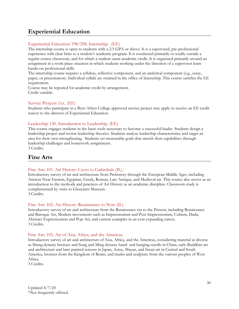# <span id="page-29-0"></span>**Experiential Education**

#### Experiential Education 198/298. Internship. (EE)

The internship course is open to students with a 2.5 GPA or above. It is a supervised, pre-professional experience with clear links to a student's academic program. It is conducted primarily or totally outside a regular course classroom, and for which a student earns academic credit. It is organized primarily around an assignment in a work-place situation in which students working under the direction of a supervisor learn hands-on professional skills.

The internship course requires a syllabus, reflective component, and an analytical component (e.g., essay, paper, or presentation). Individual syllabi are retained in the office of Internship. This course satisfies the EE requirement.

Course may be repeated for academic credit by arrangement. Credit variable.

#### Service Projects 1xx. (EE)

Students who participate in a Bryn Athyn College approved service project may apply to receive an EE credit waiver to the director of Experiential Education.

#### Leadership 130. Introduction to Leadership. (EE)

This course engages students in the basic tools necessary to become a successful leader. Students design a leadership project and review leadership theories. Students analyze leadership characteristics and target an area for their own strengthening. Students set measurable goals that stretch their capabilities through leadership challenges and homework assignments. 3 Credits.

<span id="page-29-1"></span>

# **Fine Arts**

#### Fine Arts 101. Art History: Caves to Cathedrals (IL).

Introductory survey of art and architecture from Prehistory through the European Middle Ages, including Ancient Near Eastern, Egyptian, Greek, Roman, Late Antique, and Medieval art. This course also serves as an introduction to the methods and practices of Art History as an academic discipline. Classroom study is complemented by visits to Glencairn Museum. 3 Credits.

#### Fine Arts 102. Art History: Renaissance to Now (IL).

Introductory survey of art and architecture from the Renaissance era to the Present, including Renaissance and Baroque Art, Modern movements such as Impressionism and Post-Impressionism, Cubism, Dada, Abstract Expressionism and Pop-Art, and current examples in an ever-expanding canon. 3 Credits.

#### Fine Arts 103. Art of Asia, Africa, and the Americas.

Introductory survey of art and architecture of Asia, Africa, and the Americas, considering material as diverse as Shang dynasty bronzes and Song and Ming dynasty hand- and hanging-scrolls in China, early Buddhist art and architecture and later painted screens in Japan, Aztec, Mayan, and Incan art in Central and South America, bronzes from the Kingdom of Benin, and masks and sculpture from the various peoples of West Africa.

3 Credits.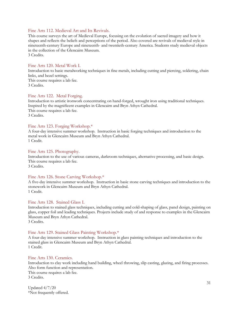#### Fine Arts 112. Medieval Art and Its Revivals.

This course surveys the art of Medieval Europe, focusing on the evolution of sacred imagery and how it shapes and reflects the beliefs and perceptions of the period. Also covered are revivals of medieval style in nineteenth-century Europe and nineteenth- and twentieth-century America. Students study medieval objects in the collection of the Glencairn Museum.

3 Credits.

#### Fine Arts 120. Metal Work I.

Introduction to basic metalworking techniques in fine metals, including cutting and piercing, soldering, chain links, and bezel settings. This course requires a lab fee. 3 Credits.

#### Fine Arts 122. Metal Forging.

Introduction to artistic ironwork concentrating on hand-forged, wrought iron using traditional techniques. Inspired by the magnificent examples in Glencairn and Bryn Athyn Cathedral. This course requires a lab fee. 3 Credits.

#### Fine Arts 123. Forging Workshop.\*

A four-day intensive summer workshop. Instruction in basic forging techniques and introduction to the metal work in Glencairn Museum and Bryn Athyn Cathedral. 1 Credit.

#### Fine Arts 125. Photography.

Introduction to the use of various cameras, darkroom techniques, alternative processing, and basic design. This course requires a lab fee. 3 Credits.

#### Fine Arts 126. Stone Carving Workshop.\*

A five-day intensive summer workshop. Instruction in basic stone carving techniques and introduction to the stonework in Glencairn Museum and Bryn Athyn Cathedral. 1 Credit.

#### Fine Arts 128. Stained Glass I.

Introduction to stained glass techniques, including cutting and cold-shaping of glass, panel design, painting on glass, copper foil and leading techniques. Projects include study of and response to examples in the Glencairn Museum and Bryn Athyn Cathedral.

3 Credits.

#### Fine Arts 129. Stained Glass Painting Workshop.\*

A four-day intensive summer workshop. Instruction in glass painting techniques and introduction to the stained glass in Glencairn Museum and Bryn Athyn Cathedral. 1 Credit.

#### Fine Arts 130. Ceramics.

Introduction to clay work including hand building, wheel throwing, slip casting, glazing, and firing processes. Also form function and representation.

This course requires a lab fee. 3 Credits.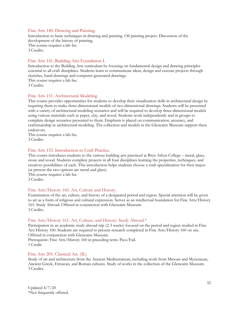#### Fine Arts 140. Drawing and Painting.

Introduction to basic techniques in drawing and painting. Oil painting project. Discussion of the development of the history of painting. This course requires a lab fee. 3 Credits.

#### Fine Arts 141. Building Arts Foundation I.

Introduction to the Building Arts curriculum by focusing on fundamental design and drawing principles essential to all craft disciplines. Students learn to communicate ideas, design and execute projects through sketches, hand drawings and computer-generated drawings.

This course requires a lab fee.

3 Credits.

#### Fine Arts 151. Architectural Modeling.

This course provides opportunities for students to develop their visualization skills in architectural design by requiring them to make three-dimensional models of two-dimensional drawings. Students will be presented with a variety of architectural modeling scenarios and will be required to develop three-dimensional models using various materials such as paper, clay, and wood. Students work independently and in groups to complete design scenarios presented to them. Emphasis is placed on communication, accuracy, and craftsmanship in architectural modeling. The collection and models in the Glencairn Museum support these endeavors.

This course requires a lab fee. 3 Credits.

#### Fine Arts 155. Introduction to Craft Practice.

This course introduces students to the various building arts practiced at Bryn Athyn College – metal, glass, stone and wood. Students complete projects in all four disciplines learning the properties, techniques, and creatives possibilities of each. This introduction helps students choose a craft specialization for their major. (at present the two options are metal and glass).

This course requires a lab fee. 3 Credits.

#### Fine Arts/History 160. Art, Culture and History.

Examination of the art, culture, and history of a designated period and region. Special attention will be given to art as a form of religious and cultural expression. Serves as an intellectual foundation for Fine Arts/History 161: Study Abroad. Offered in conjunction with Glencairn Museum. 3 Credits.

#### Fine Arts/History 161. Art, Culture, and History: Study Abroad.\*

Participation in an academic study abroad trip (2-3 weeks) focused on the period and region studied in Fine Art/History 160. Students are required to present research completed in Fine Arts/History 160 on site. Offered in conjunction with Glencairn Museum.

Prerequisite: Fine Arts/History 160 in preceding term. Pass/Fail. 1 Credit.

#### Fine Arts 201. Classical Art. (IL)

Study of art and architecture from the Ancient Mediterranean, including work from Minoan and Mycenaean, Ancient Greek, Etruscan, and Roman cultures. Study of works in the collection of the Glencairn Museum. 3 Credits.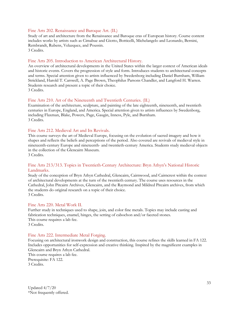#### Fine Arts 202. Renaissance and Baroque Art. (IL)

Study of art and architecture from the Renaissance and Baroque eras of European history. Course content includes works by artists such as Cimabue and Giotto, Botticelli, Michelangelo and Leonardo, Bernini, Rembrandt, Rubens, Velazquez, and Poussin. 3 Credits.

#### Fine Arts 205. Introduction to American Architectural History.

An overview of architectural developments in the United States within the larger context of American ideals and historic events. Covers the progression of style and form. Introduces students to architectural concepts and terms. Special attention given to artists influenced by Swedenborg including Daniel Burnham, William Strickland, Harold T. Carswell, A. Page Brown, Theophilus Parsons Chandler, and Langford H. Warren. Students research and present a topic of their choice. 3 Credits.

#### Fine Arts 210. Art of the Nineteenth and Twentieth Centuries. (IL)

Examination of the architecture, sculpture, and painting of the late eighteenth, nineteenth, and twentieth centuries in Europe, England, and America. Special attention given to artists influences by Swedenborg, including Flaxman, Blake, Powers, Page, Gaugin, Inness, Pyle, and Burnham. 3 Credits.

#### Fine Arts 212. Medieval Art and Its Revivals.

This course surveys the art of Medieval Europe, focusing on the evolution of sacred imagery and how it shapes and reflects the beliefs and perceptions of the period. Also covered are revivals of medieval style in nineteenth-century Europe and nineteenth- and twentieth-century America. Students study medieval objects in the collection of the Glencairn Museum.

3 Credits.

#### Fine Arts 213/313. Topics in Twentieth-Century Architecture: Bryn Athyn's National Historic Landmarks.

Study of the conception of Bryn Athyn Cathedral, Glencairn, Cairnwood, and Cairncrest within the context of architectural developments at the turn of the twentieth century. The course uses resources in the Cathedral, John Pitcairn Archives, Glencairn, and the Raymond and Mildred Pitcairn archives, from which the students do original research on a topic of their choice. 3 Credits.

#### Fine Arts 220. Metal Work II.

Further study in techniques used to shape, join, and color fine metals. Topics may include casting and fabrication techniques, enamel, hinges, the setting of cabochon and/or faceted stones. This course requires a lab fee. 3 Credits.

#### Fine Arts 222. Intermediate Metal Forging.

Focusing on architectural ironwork design and construction, this course refines the skills learned in FA 122. Includes opportunities for self-expression and creative thinking. Inspired by the magnificent examples in Glencairn and Bryn Athyn Cathedral. This course requires a lab fee.

Prerequisite: FA 122. 3 Credits.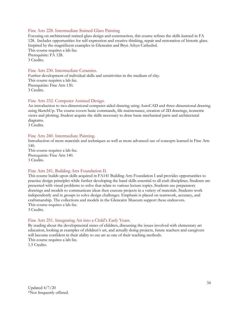#### Fine Arts 228. Intermediate Stained Glass Painting

Focusing on architectural stained glass design and construction, this course refines the skills learned in FA 128. Includes opportunities for self-expression and creative thinking, repair and restoration of historic glass. Inspired by the magnificent examples in Glencairn and Bryn Athyn Cathedral. This course requires a lab fee. Prerequisite: FA 128. 3 Credits.

#### Fine Arts 230. Intermediate Ceramics.

Further development of individual skills and sensitivities in the medium of clay. This course requires a lab fee. Prerequisite: Fine Arts 130. 3 Credits.

#### Fine Arts 232. Computer Assisted Design.

An introduction to two-dimensional computer aided drawing using AutoCAD and three-dimensional drawing using SketchUp. The course covers basic commands, file maintenance, creation of 2D drawings, isometric views and plotting. Student acquire the skills necessary to draw basic mechanical parts and architectural diagrams.

3 Credits.

#### Fine Arts 240. Intermediate Painting.

Introduction of more materials and techniques as well as more advanced use of concepts learned in Fine Arts 140.

This course requires a lab fee. Prerequisite: Fine Arts 140. 3 Credits.

#### Fine Arts 241. Building Arts Foundation II.

This course builds upon skills acquired in FA141 Building Arts Foundation I and provides opportunities to practice design principles while further developing the hand skills essential to all craft disciplines. Students are presented with visual problems to solve that relate to various lecture topics. Students use preparatory drawings and models to communicate ideas then execute projects in a variety of materials. Students work independently and in groups to solve design challenges. Emphasis is placed on teamwork, accuracy, and craftsmanship. The collections and models in the Glencairn Museum support these endeavors. This course requires a lab fee.

3 Credits.

#### Fine Arts 251. Integrating Art into a Child's Early Years.

By reading about the developmental states of children, discussing the issues involved with elementary art education, looking at examples of children's art, and actually doing projects, future teachers and caregivers will become confident in their ability to use art as one of their teaching methods. This course requires a lab fee.

1.5 Credits.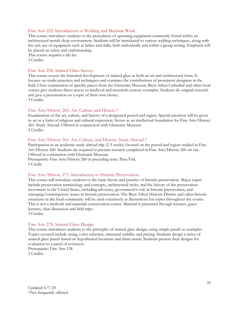#### Fine Arts 252. Introduction to Welding and Machine Work

This course introduces students to the procedures of operating equipment commonly found within an architectural metals shop environment. Students will be introduced to various welding techniques, along with the safe use of equipment such as lathes and mills, both individually and within a group setting. Emphasis will be placed on safety and craftsmanship.

This course requires a lab fee. 3 Credits.

#### Fine Arts 258. Stained Glass Survey.

This course covers the historical development of stained glass as both an art and architectural form. It focuses on studio practices and techniques and examines the contributions of prominent designers in the field. Close examination of specific pieces from the Glencairn Museum, Bryn Athyn Cathedral and other local venues give students direct access to medieval and twentieth-century examples. Students do original research and give a presentation on a topic of their own choice. 3 Credits.

#### Fine Arts/History 260. Art, Culture and History.\*

Examination of the art, culture, and history of a designated period and region. Special attention will be given to art as a form of religious and cultural expression. Serves as an intellectual foundation for Fine Arts/History 261: Study Abroad. Offered in conjunction with Glencairn Museum. 3 Credits.

#### Fine Arts/History 261. Art, Culture, and History: Study Abroad.\*

Participation in an academic study abroad trip (2-3 weeks) focused on the period and region studied in Fine Art/History 260. Students are required to present research completed in Fine Arts/History 260 on site. Offered in conjunction with Glencairn Museum. Prerequisite: Fine Arts/History 260 in preceding term. Pass/Fail.

1 Credit.

#### Fine Arts/History 271. Introduction to Historic Preservation.

This course will introduce students to the basic theory and practice of historic preservation. Major topics include preservation terminology and concepts, architectural styles, and the history of the preservation movement in the United States, including advocacy, government's role in historic preservation, and emerging/contemporary issues in historic preservation. The Bryn Athyn Historic District and other historic structures in the local community will be used extensively as illustrations for topics throughout the course. This is not a methods and materials conservation course. Material is presented through lectures, guest lectures, class discussion and field trips. 3 Credits.

# Fine Arts 278. Stained Glass Design

This course introduces students to the principles of stained glass design, using simple panels as examples. Topics covered include sizing, color selection, structural stability and pricing. Students design a series of stained glass panels based on hypothetical locations and client needs. Students present their designs for evaluation to a panel of reviewers. Prerequisite: Fine Arts 128

3 Credits.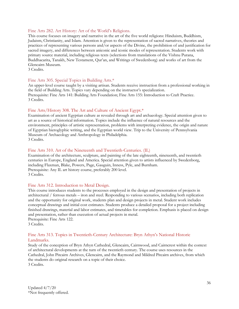#### Fine Arts 282. Art History: Art of the World's Religions.

This course focuses on imagery and narrative in the art of the five world religions: Hinduism, Buddhism, Judaism, Christianity, and Islam. Attention is given to the representation of sacred narratives, theories and practices of representing various persons and/or aspects of the Divine, the prohibition of and justification for sacred imagery, and differences between aniconic and iconic modes of representation. Students work with primary source material, including religious texts (selections from translations of the Vishnu Purana, Buddhacarita, Tanakh, New Testament, Qur'an, and Writings of Swedenborg) and works of art from the Glencairn Museum.

3 Credits.

#### Fine Arts 305. Special Topics in Building Arts.\*

An upper-level course taught by a visiting artisan. Students receive instruction from a professional working in the field of Building Arts. Topics vary depending on the instructor's specialization. Prerequisite: Fine Arts 141: Building Arts Foundation; Fine Arts 155: Introduction to Craft Practice. 3 Credits.

#### Fine Arts/History 308. The Art and Culture of Ancient Egypt.\*

Examination of ancient Egyptian culture as revealed through art and archaeology. Special attention given to art as a source of historical information. Topics include the influence of natural resources and the environment, principles of artistic representation, problems with interpreting evidence, the origin and nature of Egyptian hieroglyphic writing, and the Egyptian world view. Trip to the University of Pennsylvania Museum of Archaeology and Anthropology in Philadelphia. 3 Credits.

#### Fine Arts 310. Art of the Nineteenth and Twentieth-Centuries. (IL)

Examination of the architecture, sculpture, and painting of the late eighteenth, nineteenth, and twentieth centuries in Europe, England and America. Special attention given to artists influenced by Swedenborg, including Flaxman, Blake, Powers, Page, Gauguin, Inness, Pyle, and Burnham. Prerequisite: Any IL art history course, preferably 200 level. 3 Credits.

#### Fine Arts 312. Introduction to Metal Design.

This course introduces students to the processes employed in the design and presentation of projects in architectural / ferrous metals – iron and steel. Responding to various scenarios, including both replication and the opportunity for original work, students plan and design projects in metal. Student work includes conceptual drawings and initial cost estimates. Students produce a detailed proposal for a project including finished drawings, material and labor estimates, and timetables for completion. Emphasis is placed on design and presentation, rather than execution of actual projects in metal. Prerequisite: Fine Arts 122.

3 Credits.

#### Fine Arts 313. Topics in Twentieth-Century Architecture: Bryn Athyn's National Historic Landmarks.

Study of the conception of Bryn Athyn Cathedral, Glencairn, Cairnwood, and Cairncrest within the context of architectural developments at the turn of the twentieth century. The course uses resources in the Cathedral, John Pitcairn Archives, Glencairn, and the Raymond and Mildred Pitcairn archives, from which the students do original research on a topic of their choice. 3 Credits.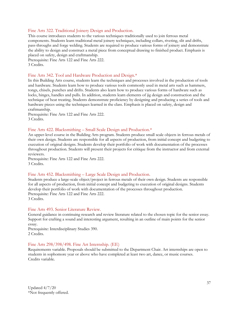#### Fine Arts 322. Traditional Joinery Design and Production.

This course introduces students to the various techniques traditionally used to join ferrous metal components. Students learn traditional metal joinery techniques, including collars, riveting, slit and drifts, pass-throughs and forge welding. Students are required to produce various forms of joinery and demonstrate the ability to design and construct a metal piece from conceptual drawing to finished product. Emphasis is placed on safety, design and craftmanship.

Prerequisite: Fine Arts 122 and Fine Arts 222. 3 Credits.

#### Fine Arts 342. Tool and Hardware Production and Design.\*

In this Building Arts course, students learn the techniques and processes involved in the production of tools and hardware. Students learn how to produce various tools commonly used in metal arts such as hammers, tongs, chisels, punches and drifts. Students also learn how to produce various forms of hardware such as locks, hinges, handles and pulls. In addition, students learn elements of jig design and construction and the technique of heat treating. Students demonstrate proficiency by designing and producing a series of tools and hardware pieces using the techniques learned in the class. Emphasis is placed on safety, design and craftmanship.

Prerequisite: Fine Arts 122 and Fine Arts 222. 3 Credits.

#### Fine Arts 422. Blacksmithing – Small Scale Design and Production.\*

An upper-level course in the Building Arts program. Students produce small scale objects in ferrous metals of their own design. Students are responsible for all aspects of production, from initial concept and budgeting to execution of original designs. Students develop their portfolio of work with documentation of the processes throughout production. Students will present their projects for critique from the instructor and from external reviewers.

Prerequisite: Fine Arts 122 and Fine Arts 222. 3 Credits.

#### Fine Arts 452. Blacksmithing – Large Scale Design and Production.

Students produce a large-scale object/project in ferrous metals of their own design. Students are responsible for all aspects of production, from initial concept and budgeting to execution of original designs. Students develop their portfolio of work with documentation of the processes throughout production. Prerequisite: Fine Arts 122 and Fine Arts 222. 3 Credits.

#### Fine Arts 493. Senior Literature Review.

General guidance in continuing research and review literature related to the chosen topic for the senior essay. Support for crafting a sound and interesting argument, resulting in an outline of main points for the senior essay.

Prerequisite: Interdisciplinary Studies 390. 2 Credits.

#### Fine Arts 298/398/498. Fine Art Internship. (EE)

Requirements variable. Proposals should be submitted to the Department Chair. Art internships are open to students in sophomore year or above who have completed at least two art, dance, or music courses. Credits variable.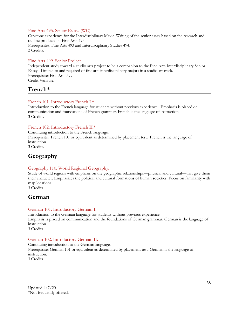#### Fine Arts 495. Senior Essay. (WC)

Capstone experience for the Interdisciplinary Major. Writing of the senior essay based on the research and outline produced in Fine Arts 493. Prerequisites: Fine Arts 493 and Interdisciplinary Studies 494. 2 Credits.

#### Fine Arts 499. Senior Project.

Independent study toward a studio arts project to be a companion to the Fine Arts Interdisciplinary Senior Essay. Limited to and required of fine arts interdisciplinary majors in a studio art track. Prerequisite: Fine Arts 399. Credit Variable.

# **French\***

#### French 101. Introductory French I.\*

Introduction to the French language for students without previous experience. Emphasis is placed on communication and foundations of French grammar. French is the language of instruction. 3 Credits.

#### French 102. Introductory French II.\*

Continuing introduction to the French language. Prerequisite: French 101 or equivalent as determined by placement test. French is the language of instruction. 3 Credits.

# **Geography**

#### Geography 110. World Regional Geography.

Study of world regions with emphasis on the geographic relationships—physical and cultural—that give them their character. Emphasizes the political and cultural formations of human societies. Focus on familiarity with map locations.

3 Credits.

# **German**

#### German 101. Introductory German I.

Introduction to the German language for students without previous experience. Emphasis is placed on communication and the foundations of German grammar. German is the language of instruction. 3 Credits.

#### German 102. Introductory German II.

Continuing introduction to the German language. Prerequisite: German 101 or equivalent as determined by placement test. German is the language of instruction. 3 Credits.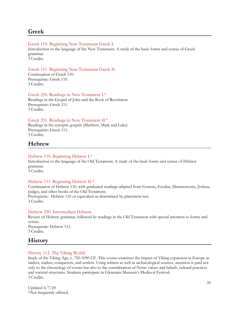# **Greek**

#### Greek 110. Beginning New Testament Greek I.

Introduction to the language of the New Testament. A study of the basic forms and syntax of Greek grammar.

3 Credits.

#### Greek 111. Beginning New Testament Greek II.

Continuation of Greek 110. Prerequisite: Greek 110. 3 Credits.

#### Greek 250. Readings in New Testament I.\* Readings in the Gospel of John and the Book of Revelation.

Prerequisite: Greek 111. 3 Credits.

#### Greek 251. Readings in New Testament II.\*

Readings in the synoptic gospels (Matthew, Mark and Luke). Prerequisite: Greek 111. 3 Credits.

# **Hebrew**

#### Hebrew 110. Beginning Hebrew I.\*

Introduction to the language of the Old Testament. A study of the basic forms and syntax of Hebrew grammar.

3 Credits.

#### Hebrew 111. Beginning Hebrew II.\*

Continuation of Hebrew 110, with graduated readings adapted from Genesis, Exodus, Deuteronomy, Joshua, Judges, and other books of the Old Testament. Prerequisite: Hebrew 110 or equivalent as determined by placement test. 3 Credits.

#### Hebrew 250. Intermediate Hebrew.

Review of Hebrew grammar, followed by readings in the Old Testament with special attention to forms and syntax. Prerequisite: Hebrew 111.

3 Credits.

# **History**

#### History 112. The Viking World.

Study of the Viking Age, c. 750-1050 CE. This course examines the impact of Viking expansion in Europe as raiders, traders, conquerors, and settlers. Using written as well as archaeological sources, attention is paid not only to the chronology of events but also to the consideration of Norse values and beliefs, cultural practices and societal structures. Students participate in Glencairn Museum's Medieval Festival. 3 Credits.

Updated 4/7/20 \*Not frequently offered.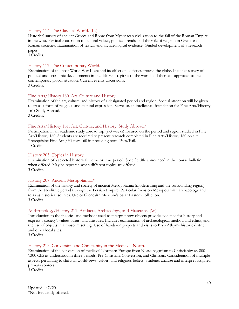#### History 114. The Classical World. (IL)

Historical survey of ancient Greece and Rome from Mycenaean civilization to the fall of the Roman Empire in the west. Particular attention to cultural values, political trends, and the role of religion in Greek and Roman societies. Examination of textual and archaeological evidence. Guided development of a research paper.

3 Credits.

#### History 117. The Contemporary World.

Examination of the post-World War II era and its effect on societies around the globe. Includes survey of political and economic developments in the different regions of the world and thematic approach to the contemporary global situation. Current events discussions. 3 Credits.

#### Fine Arts/History 160. Art, Culture and History.

Examination of the art, culture, and history of a designated period and region. Special attention will be given to art as a form of religious and cultural expression. Serves as an intellectual foundation for Fine Arts/History 161: Study Abroad.

3 Credits.

#### Fine Arts/History 161. Art, Culture, and History: Study Abroad.\*

Participation in an academic study abroad trip (2-3 weeks) focused on the period and region studied in Fine Art/History 160. Students are required to present research completed in Fine Arts/History 160 on site. Prerequisite: Fine Arts/History 160 in preceding term. Pass/Fail. 1 Credit.

#### History 205. Topics in History.

Examination of a selected historical theme or time period. Specific title announced in the course bulletin when offered. May be repeated when different topics are offered. 3 Credits.

#### History 207. Ancient Mesopotamia.\*

Examination of the history and society of ancient Mesopotamia (modern Iraq and the surrounding region) from the Neolithic period through the Persian Empire. Particular focus on Mesopotamian archaeology and texts as historical sources. Use of Glencairn Museum's Near Eastern collection. 3 Credits.

#### Anthropology/History 211. Artifacts, Archaeology, and Museums. (W)

Introduction to the theories and methods used to interpret how objects provide evidence for history and express a society's values, ideas, and attitudes. Includes examination of archaeological method and ethics, and the use of objects in a museum setting. Use of hands-on projects and visits to Bryn Athyn's historic district and other local sites.

3 Credits.

#### History 213. Conversion and Christianity in the Medieval North.

Examination of the conversion of medieval Northern Europe from Norse paganism to Christianity (c. 800 – 1300 CE) as understood in three periods: Pre-Christian, Conversion, and Christian. Consideration of multiple aspects pertaining to shifts in worldviews, values, and religious beliefs. Students analyze and interpret assigned primary sources.

3 Credits.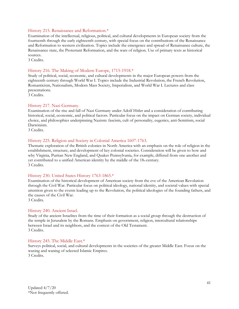#### History 215. Renaissance and Reformation.\*

Examination of the intellectual, religious, political, and cultural developments in European society from the fourteenth through the early eighteenth century, with special focus on the contributions of the Renaissance and Reformation to western civilization. Topics include the emergence and spread of Renaissance culture, the Renaissance state, the Protestant Reformation, and the wars of religion. Use of primary texts as historical sources.

3 Credits.

#### History 216. The Making of Modern Europe, 1715-1918.\*

Study of political, social, economic, and cultural developments in the major European powers from the eighteenth century through World War I. Topics include the Industrial Revolution, the French Revolution, Romanticism, Nationalism, Modern Mass Society, Imperialism, and World War I. Lectures and class presentations.

3 Credits.

#### History 217. Nazi Germany.

Examination of the rise and fall of Nazi Germany under Adolf Hitler and a consideration of contributing historical, social, economic, and political factors. Particular focus on the impact on German society, individual choice, and philosophies underpinning Nazism: fascism, cult of personality, eugenics, anti-Semitism, social Darwinism.

3 Credits.

#### History 225. Religion and Society in Colonial America 1607-1763.

Thematic exploration of the British colonies in North America with an emphasis on the role of religion in the establishment, structure, and development of key colonial societies. Consideration will be given to how and why Virginia, Puritan New England, and Quaker Pennsylvania, for example, differed from one another and yet contributed to a unified American identity by the middle of the  $18<sub>th</sub>$  century. 3 Credits.

#### History 230. United States History 1763-1865.\*

Examination of the historical development of American society from the eve of the American Revolution through the Civil War. Particular focus on political ideology, national identity, and societal values with special attention given to the events leading up to the Revolution, the political ideologies of the founding fathers, and the causes of the Civil War.

3 Credits.

#### History 240. Ancient Israel.

Study of the ancient Israelites from the time of their formation as a social group through the destruction of the temple in Jerusalem by the Romans. Emphasis on government, religion, intercultural relationships between Israel and its neighbors, and the context of the Old Testament. 3 Credits.

#### History 245. The Middle East.\*

Surveys political, social, and cultural developments in the societies of the greater Middle East. Focus on the waxing and waning of selected Islamic Empires. 3 Credits.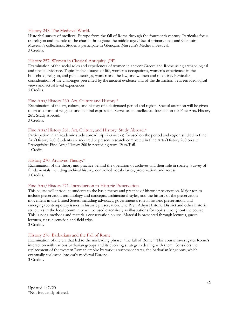#### History 248. The Medieval World.

Historical survey of medieval Europe from the fall of Rome through the fourteenth century. Particular focus on religion and the role of the church throughout the middle ages. Use of primary texts and Glencairn Museum's collections. Students participate in Glencairn Museum's Medieval Festival. 3 Credits.

#### History 257. Women in Classical Antiquity. (PP)

Examination of the social roles and experiences of women in ancient Greece and Rome using archaeological and textual evidence. Topics include stages of life, women's occupations, women's experiences in the household, religion, and public settings, women and the law, and women and medicine. Particular consideration of the challenges presented by the ancient evidence and of the distinction between ideological views and actual lived experiences.

3 Credits.

#### Fine Arts/History 260. Art, Culture and History.\*

Examination of the art, culture, and history of a designated period and region. Special attention will be given to art as a form of religious and cultural expression. Serves as an intellectual foundation for Fine Arts/History 261: Study Abroad.

3 Credits.

#### Fine Arts/History 261. Art, Culture, and History: Study Abroad.\*

Participation in an academic study abroad trip (2-3 weeks) focused on the period and region studied in Fine Art/History 260. Students are required to present research completed in Fine Arts/History 260 on site. Prerequisite: Fine Arts/History 260 in preceding term. Pass/Fail. 1 Credit.

#### History 270. Archives Theory.\*

Examination of the theory and practice behind the operation of archives and their role in society. Survey of fundamentals including archival history, controlled vocabularies, preservation, and access. 3 Credits.

#### Fine Arts/History 271. Introduction to Historic Preservation.

This course will introduce students to the basic theory and practice of historic preservation. Major topics include preservation terminology and concepts, architectural styles, and the history of the preservation movement in the United States, including advocacy, government's role in historic preservation, and emerging/contemporary issues in historic preservation. The Bryn Athyn Historic District and other historic structures in the local community will be used extensively as illustrations for topics throughout the course. This is not a methods and materials conservation course. Material is presented through lectures, guest lectures, class discussion and field trips.

3 Credits.

#### History 276. Barbarians and the Fall of Rome.

Examination of the era that led to the misleading phrase: "the fall of Rome." This course investigates Rome's interaction with various barbarian groups and its evolving strategy in dealing with them. Considers the replacement of the western Roman empire by various successor states, the barbarian kingdoms, which eventually coalesced into early medieval Europe. 3 Credits.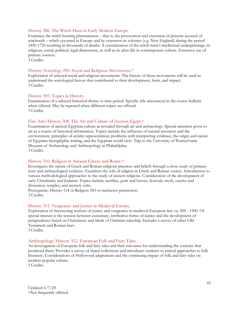#### History 286. The Witch-Hunt in Early Modern Europe.

Examines the witch-hunting phenomenon – that is, the prosecution and execution of persons accused of witchcraft – which occurred in Europe and by extension its colonies (e.g. New England) during the period 1450-1750 resulting in thousands of deaths. A consideration of the witch-hunt's intellectual underpinnings, its religious, social, political, legal dimensions, as well as its after-life in contemporary culture. Extensive use of primary sources.

3 Credits.

#### History/Sociology 290. Social and Religious Movements.\*

Exploration of selected social and religious movements. The history of these movements will be used to understand the sociological factors that contributed to their development, form, and impact. 3 Credits.

#### History 305. Topics in History.

Examination of a selected historical theme or time period. Specific title announced in the course bulletin when offered. May be repeated when different topics are offered. 3 Credits.

#### Fine Arts/History 308. The Art and Culture of Ancient Egypt.\*

Examination of ancient Egyptian culture as revealed through art and archaeology. Special attention given to art as a source of historical information. Topics include the influence of natural resources and the environment, principles of artistic representation, problems with interpreting evidence, the origin and nature of Egyptian hieroglyphic writing, and the Egyptian world view. Trip to the University of Pennsylvania Museum of Archaeology and Anthropology in Philadelphia. 3 Credits.

#### History 310. Religion in Ancient Greece and Rome.\*

Investigates the nature of Greek and Roman religious practices and beliefs through a close study of primary texts and archaeological evidence. Examines the role of religion in Greek and Roman society. Introduction to various methodological approaches to the study of ancient religions. Consideration of the development of early Christianity and Judaism. Topics include sacrifice, gods and heroes, festivals, myth, oracles and divination, temples, and mystery cults.

Prerequisite: History 114 or Religion 283 or instructor permission. 3 Credits.

#### History 311. Vengeance and Justice in Medieval Europe.

Exploration of intersecting notions of justice and vengeance in medieval European law, ca. 500 - 1500. Of special interest is the tension between customary, retributive forms of justice and the development of jurisprudence based on Christianity and ideals of Christian rulership. Includes a survey of select Old Testament and Roman laws.

3 Credits.

#### Anthropology/History 312. European Folk and Fairy Tales.

An investigation of European folk and fairy tales and their relevance for understanding the societies that produced them. Provides a survey of major collections and introduces students to critical approaches to folk literature. Considerations of Hollywood adaptations and the continuing impact of folk and fairy tales on modern popular culture.

3 Credits.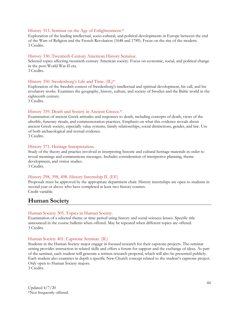#### History 315. Seminar on the Age of Enlightenment.\*

Exploration of the leading intellectual, socio-cultural, and political developments in Europe between the end of the Wars of Religion and the French Revolution (1648 and 1789). Focus on the rise of the modern. 3 Credits.

#### History 330. Twentieth-Century American History Seminar.

Selected topics affecting twentieth-century American society. Focus on economic, social, and political change in the post-World War II era.

3 Credits.

#### History 350. Swedenborg's Life and Time. (IL)\*

Exploration of the Swedish context of Swedenborg's intellectual and spiritual development, his call, and his revelatory works. Examines the geography, history, culture, and society of Sweden and the Baltic world in the eighteenth century.

3 Credits.

#### History 359. Death and Society in Ancient Greece.\*

Examination of ancient Greek attitudes and responses to death, including concepts of death, views of the afterlife, funerary rituals, and commemoration practices. Emphasis on what this evidence reveals about ancient Greek society, especially value systems, family relationships, social distinctions, gender, and law. Use of both archaeological and textual evidence. 3 Credits.

#### History 371. Heritage Interpretation.

Study of the theory and practice involved in interpreting historic and cultural heritage materials in order to reveal meanings and communicate messages. Includes consideration of interpretive planning, theme development, and visitor studies. 3 Credits.

# History 298, 398, 498. History Internship II. (EE)

Proposals must be approved by the appropriate department chair. History internships are open to students in second year or above who have completed at least two history courses. Credit variable.

# **Human Society**

#### Human Society 305. Topics in Human Society.

Examination of a selected theme or time period using history and social sciences lenses. Specific title announced in the course bulletin when offered. May be repeated when different topics are offered. 3 Credits.

#### Human Society 401. Capstone Seminar. (IL)

Students in the Human Society major engage in focused research for their capstone projects. The seminar setting provides instruction in related skills and offers a forum for support and the exchange of ideas. As part of the seminar, each student will generate a written research proposal, which will also be presented publicly. Each student also examines in depth a specific New Church concept related to the student's capstone project. Only open to Human Society majors. 3 Credits.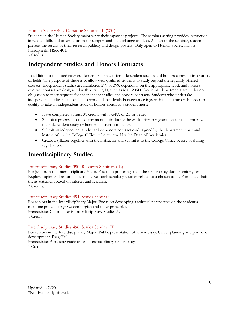#### Human Society 402. Capstone Seminar II. (WC)

Students in the Human Society major write their capstone projects. The seminar setting provides instruction in related skills and offers a forum for support and the exchange of ideas. As part of the seminar, students present the results of their research publicly and design posters. Only open to Human Society majors. Prerequisite: HSoc 401.

#### 3 Credits.

# **Independent Studies and Honors Contracts**

In addition to the listed courses, departments may offer independent studies and honors contracts in a variety of fields. The purpose of these is to allow well-qualified students to study beyond the regularly offered courses. Independent studies are numbered 299 or 399, depending on the appropriate level, and honors contract courses are designated with a trailing H, such as Math205H. Academic departments are under no obligation to meet requests for independent studies and honors contracts. Students who undertake independent studies must be able to work independently between meetings with the instructor. In order to qualify to take an independent study or honors contract, a student must:

- Have completed at least 31 credits with a GPA of 2.7 or better
- Submit a proposal to the department chair during the week prior to registration for the term in which the independent study or honors contract is to occur.
- Submit an independent study card or honors contract card (signed by the department chair and instructor) to the College Office to be reviewed by the Dean of Academics.
- Create a syllabus together with the instructor and submit it to the College Office before or during registration.

# **Interdisciplinary Studies**

## Interdisciplinary Studies 390. Research Seminar. (IL)

For juniors in the Interdisciplinary Major. Focus on preparing to do the senior essay during senior year. Explore topics and research questions. Research scholarly sources related to a chosen topic. Formulate draft thesis statement based on interest and research. 2 Credits.

## Interdisciplinary Studies 494. Senior Seminar I.

For seniors in the Interdisciplinary Major. Focus on developing a spiritual perspective on the student's capstone project using Swedenborgian and other principles. Prerequisite: C– or better in Interdisciplinary Studies 390. 1 Credit.

## Interdisciplinary Studies 496. Senior Seminar II.

For seniors in the Interdisciplinary Major. Public presentation of senior essay. Career planning and portfolio development. Pass/Fail.

Prerequisite: A passing grade on an interdisciplinary senior essay. 1 Credit.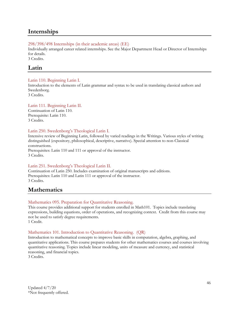# **Internships**

#### 298/398/498 Internships (in their academic areas) (EE)

Individually arranged career related internships. See the Major Department Head or Director of Internships for details.

3 Credits.

# **Latin**

#### Latin 110. Beginning Latin I.

Introduction to the elements of Latin grammar and syntax to be used in translating classical authors and Swedenborg.

3 Credits.

#### Latin 111. Beginning Latin II.

Continuation of Latin 110. Prerequisite: Latin 110. 3 Credits.

#### Latin 250. Swedenborg's Theological Latin I.

Intensive review of Beginning Latin, followed by varied readings in the Writings. Various styles of writing distinguished (expository, philosophical, descriptive, narrative). Special attention to non-Classical constructions.

Prerequisites: Latin 110 and 111 or approval of the instructor. 3 Credits.

#### Latin 251. Swedenborg's Theological Latin II.

Continuation of Latin 250. Includes examination of original manuscripts and editions. Prerequisites: Latin 110 and Latin 111 or approval of the instructor. 3 Credits.

# **Mathematics**

#### Mathematics 095. Preparation for Quantitative Reasoning.

This course provides additional support for students enrolled in Math101. Topics include translating expressions, building equations, order of operations, and recognizing context. Credit from this course may not be used to satisfy degree requirements. 1 Credit.

### Mathematics 101. Introduction to Quantitative Reasoning. (QR)

Introduction to mathematical concepts to improve basic skills in computation, algebra, graphing, and quantitative applications. This course prepares students for other mathematics courses and courses involving quantitative reasoning. Topics include linear modeling, units of measure and currency, and statistical reasoning, and financial topics.

3 Credits.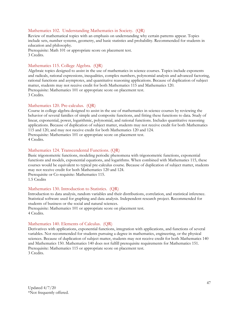#### Mathematics 102. Understanding Mathematics in Society. (QR)

Review of mathematical topics with an emphasis on understanding why certain patterns appear. Topics include sets, number systems, geometry, and basic statistics and probability. Recommended for students in education and philosophy.

Prerequisite: Math 101 or appropriate score on placement test. 3 Credits.

#### Mathematics 115. College Algebra. (QR)

Algebraic topics designed to assist in the use of mathematics in science courses. Topics include exponents and radicals, rational expressions, inequalities, complex numbers, polynomial analysis and advanced factoring, rational functions and asymptotes, and quantitative reasoning applications. Because of duplication of subject matter, students may not receive credit for both Mathematics 115 and Mathematics 120. Prerequisite: Mathematics 101 or appropriate score on placement test. 3 Credits.

#### Mathematics 120. Pre-calculus. (QR)

Course in college algebra designed to assist in the use of mathematics in science courses by reviewing the behavior of several families of simple and composite functions, and fitting these functions to data. Study of linear, exponential, power, logarithmic, polynomial, and rational functions. Includes quantitative reasoning applications. Because of duplication of subject matter, students may not receive credit for both Mathematics 115 and 120, and may not receive credit for both Mathematics 120 and 124. Prerequisite: Mathematics 101 or appropriate score on placement test. 4 Credits.

#### Mathematics 124. Transcendental Functions. (QR)

Basic trigonometric functions, modeling periodic phenomena with trigonometric functions, exponential functions and models, exponential equations, and logarithms. When combined with Mathematics 115, these courses would be equivalent to typical pre-calculus course. Because of duplication of subject matter, students may not receive credit for both Mathematics 120 and 124. Prerequisite or Co-requisite: Mathematics 115.

1.5 Credits

#### Mathematics 130. Introduction to Statistics. (QR)

Introduction to data analysis, random variables and their distributions, correlation, and statistical inference. Statistical software used for graphing and data analysis. Independent research project. Recommended for students of business or the social and natural sciences.

Prerequisite: Mathematics 101 or appropriate score on placement test. 4 Credits.

#### Mathematics 140. Elements of Calculus. (QR)

Derivatives with applications, exponential functions, integration with applications, and functions of several variables. Not recommended for students pursuing a degree in mathematics, engineering, or the physical sciences. Because of duplication of subject matter, students may not receive credit for both Mathematics 140 and Mathematics 150. Mathematics 140 does not fulfill prerequisite requirements for Mathematics 151. Prerequisite: Mathematics 115 or appropriate score on placement test. 3 Credits.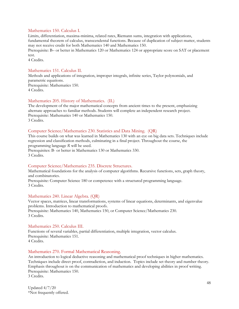#### Mathematics 150. Calculus I.

Limits, differentiation, maxima-minima, related rates, Riemann sums, integration with applications, fundamental theorem of calculus, transcendental functions. Because of duplication of subject matter, students may not receive credit for both Mathematics 140 and Mathematics 150.

Prerequisite: B– or better in Mathematics 120 or Mathematics 124 or appropriate score on SAT or placement test.

4 Credits.

#### Mathematics 151. Calculus II.

Methods and applications of integration, improper integrals, infinite series, Taylor polynomials, and parametric equations. Prerequisite: Mathematics 150. 4 Credits.

#### Mathematics 205. History of Mathematics. (IL)

The development of the major mathematical concepts from ancient times to the present, emphasizing alternate approaches to familiar methods. Students will complete an independent research project. Prerequisite: Mathematics 140 or Mathematics 150. 3 Credits.

#### Computer Science/Mathematics 230. Statistics and Data Mining. (QR)

This course builds on what was learned in Mathematics 130 with an eye on big data sets. Techniques include regression and classification methods, culminating in a final project. Throughout the course, the programming language *R* will be used.

Prerequisites: B- or better in Mathematics 130 or Mathematics 330. 3 Credits.

#### Computer Science/Mathematics 235. Discrete Structures.

Mathematical foundations for the analysis of computer algorithms. Recursive functions, sets, graph theory, and combinatorics.

Prerequisite: Computer Science 180 or competence with a structured programming language. 3 Credits.

#### Mathematics 240. Linear Algebra. (QR)

Vector spaces, matrices, linear transformations, systems of linear equations, determinants, and eigenvalue problems. Introduction to mathematical proofs. Prerequisite: Mathematics 140, Mathematics 150, or Computer Science/Mathematics 230. 3 Credits.

#### Mathematics 250. Calculus III.

Functions of several variables, partial differentiation, multiple integration, vector calculus. Prerequisite: Mathematics 151. 4 Credits.

#### Mathematics 270. Formal Mathematical Reasoning.

An introduction to logical deductive reasoning and mathematical proof techniques in higher mathematics. Techniques include direct proof, contradiction, and induction. Topics include set theory and number theory. Emphasis throughout is on the communication of mathematics and developing abilities in proof writing. Prerequisite: Mathematics 150. 3 Credits.

Updated 4/7/20 \*Not frequently offered.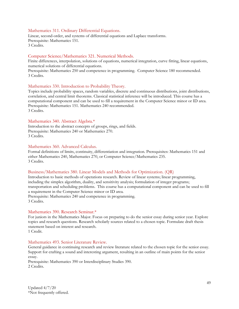#### Mathematics 311. Ordinary Differential Equations.

Linear, second-order, and systems of differential equations and Laplace transforms. Prerequisite: Mathematics 151. 3 Credits.

#### Computer Science/Mathematics 321. Numerical Methods.

Finite differences, interpolation, solutions of equations, numerical integration, curve fitting, linear equations, numerical solutions of differential equations.

Prerequisite: Mathematics 250 and competence in programming. Computer Science 180 recommended. 3 Credits.

#### Mathematics 330. Introduction to Probability Theory.

Topics include probability spaces, random variables, discrete and continuous distributions, joint distributions, correlation, and central limit theorems. Classical statistical inference will be introduced. This course has a computational component and can be used to fill a requirement in the Computer Science minor or ID area. Prerequisite: Mathematics 151. Mathematics 240 recommended. 3 Credits.

#### Mathematics 340. Abstract Algebra.\*

Introduction to the abstract concepts of groups, rings, and fields. Prerequisite: Mathematics 240 or Mathematics 270. 3 Credits.

#### Mathematics 360. Advanced Calculus.

Formal definitions of limits, continuity, differentiation and integration. Prerequisites: Mathematics 151 and either Mathematics 240, Mathematics 270, or Computer Science/Mathematics 235. 3 Credits.

#### Business/Mathematics 380. Linear Models and Methods for Optimization. (QR)

Introduction to basic methods of operations research. Review of linear systems; linear programming, including the simplex algorithm, duality, and sensitivity analysis; formulation of integer programs; transportation and scheduling problems. This course has a computational component and can be used to fill a requirement in the Computer Science minor or ID area. Prerequisite: Mathematics 240 and competence in programming. 3 Credits.

#### Mathematics 390. Research Seminar.\*

For juniors in the Mathematics Major. Focus on preparing to do the senior essay during senior year. Explore topics and research questions. Research scholarly sources related to a chosen topic. Formulate draft thesis statement based on interest and research. 1 Credit.

#### Mathematics 493. Senior Literature Review.

General guidance in continuing research and review literature related to the chosen topic for the senior essay. Support for crafting a sound and interesting argument, resulting in an outline of main points for the senior essay.

Prerequisite: Mathematics 390 or Interdisciplinary Studies 390. 2 Credits.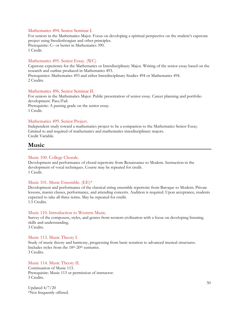#### Mathematics 494. Senior Seminar I.

For seniors in the Mathematics Major. Focus on developing a spiritual perspective on the student's capstone project using Swedenborgian and other principles. Prerequisite: C– or better in Mathematics 390. 1 Credit.

#### Mathematics 495. Senior Essay. (WC)

Capstone experience for the Mathematics or Interdisciplinary Major. Writing of the senior essay based on the research and outline produced in Mathematics 493.

Prerequisites: Mathematics 493 and either Interdisciplinary Studies 494 or Mathematics 494. 2 Credits.

#### Mathematics 496. Senior Seminar II.

For seniors in the Mathematics Major. Public presentation of senior essay. Career planning and portfolio development. Pass/Fail. Prerequisite: A passing grade on the senior essay. 1 Credit.

#### Mathematics 499. Senior Project.

Independent study toward a mathematics project to be a companion to the Mathematics Senior Essay. Limited to and required of mathematics and mathematics interdisciplinary majors. Credit Variable.

## **Music**

#### Music 100. College Chorale.

Development and performance of choral repertoire from Renaissance to Modern. Instruction in the development of vocal techniques. Course may be repeated for credit. 1 Credit.

#### Music 101. Music Ensemble. (EE)\*

Development and performance of the classical string ensemble repertoire from Baroque to Modern. Private lessons, master classes, performance, and attending concerts. Audition is required. Upon acceptance, students expected to take all three terms. May be repeated for credit. 1.5 Credits.

#### Music 110. Introduction to Western Music.

Survey of the composers, styles, and genres from western civilization with a focus on developing listening skills and understanding. 3 Credits.

#### Music 113. Music Theory I.

Study of music theory and harmony, progressing from basic notation to advanced musical structures. Includes styles from the 18<sup>th</sup>-20<sup>th</sup> centuries. 3 Credits.

#### Music 114. Music Theory II.

Continuation of Music 113. Prerequisite: Music 113 or permission of instructor. 3 Credits.

Updated 4/7/20 \*Not frequently offered.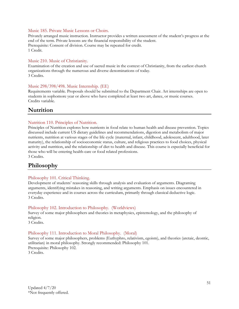#### Music 185. Private Music Lessons or Choirs.

Privately arranged music instruction. Instructor provides a written assessment of the student's progress at the end of the term. Private lessons are the financial responsibility of the student. Prerequisite: Consent of division. Course may be repeated for credit. 1 Credit.

#### Music 210. Music of Christianity.

Examination of the creation and use of sacred music in the context of Christianity, from the earliest church organizations through the numerous and diverse denominations of today. 3 Credits.

#### Music 298/398/498. Music Internship. (EE)

Requirements variable. Proposals should be submitted to the Department Chair. Art internships are open to students in sophomore year or above who have completed at least two art, dance, or music courses. Credits variable.

# **Nutrition**

#### Nutrition 110. Principles of Nutrition.

Principles of Nutrition explores how nutrients in food relate to human health and disease prevention. Topics discussed include current US dietary guidelines and recommendations, digestion and metabolism of major nutrients, nutrition at various stages of the life cycle (maternal, infant, childhood, adolescent, adulthood, later maturity), the relationship of socioeconomic status, culture, and religious practices to food choices, physical activity and nutrition, and the relationship of diet to health and disease. This course is especially beneficial for those who will be entering health-care or food related professions. 3 Credits.

# **Philosophy**

#### Philosophy 101. Critical Thinking.

Development of students' reasoning skills through analysis and evaluation of arguments. Diagraming arguments, identifying mistakes in reasoning, and writing arguments. Emphasis on issues encountered in everyday experience and in courses across the curriculum, primarily through classical deductive logic. 3 Credits.

#### Philosophy 102. Introduction to Philosophy. (Worldviews)

Survey of some major philosophers and theories in metaphysics, epistemology, and the philosophy of religion.

3 Credits.

#### Philosophy 111. Introduction to Moral Philosophy. (Moral)

Survey of some major philosophers, problems (Euthyphro, relativism, egoism), and theories (aretaic, deontic, utilitarian) in moral philosophy. Strongly recommended: Philosophy 101. Prerequisite: Philosophy 102. 3 Credits.

Updated 4/7/20 \*Not frequently offered.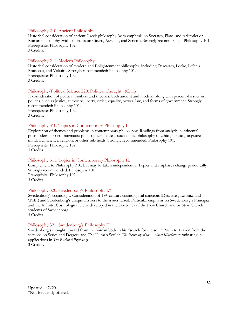#### Philosophy 210. Ancient Philosophy.

Historical consideration of ancient Greek philosophy (with emphasis on Socrates, Plato, and Aristotle) or Roman philosophy (with emphasis on Cicero, Aurelius, and Seneca). Strongly recommended: Philosophy 101. Prerequisite: Philosophy 102.

3 Credits.

#### Philosophy 211. Modern Philosophy.

Historical consideration of modern and Enlightenment philosophy, including Descartes, Locke, Leibniz, Rousseau, and Voltaire. Strongly recommended: Philosophy 101. Prerequisite: Philosophy 102. 3 Credits.

#### Philosophy/Political Science 220. Political Thought. (Civil)

A consideration of political thinkers and theories, both ancient and modern, along with perennial issues in politics, such as justice, authority, liberty, order, equality, power, law, and forms of government. Strongly recommended: Philosophy 101.

Prerequisite: Philosophy 102. 3 Credits.

#### Philosophy 310. Topics in Contemporary Philosophy I.

Exploration of themes and problems in contemporary philosophy. Readings from analytic, continental, postmodern, or neo-pragmatist philosophers in areas such as the philosophy of ethics, politics, language, mind, law, science, religion, or other sub-fields. Strongly recommended: Philosophy 101. Prerequisite: Philosophy 102. 3 Credits.

#### Philosophy 311. Topics in Contemporary Philosophy II.

Complement to Philosophy 310, but may be taken independently. Topics and emphases change periodically. Strongly recommended: Philosophy 101. Prerequisite: Philosophy 102. 3 Credits.

#### Philosophy 320. Swedenborg's Philosophy I.\*

Swedenborg's cosmology. Consideration of 18<sup>th</sup>-century cosmological concepts (Descartes, Leibniz, and Wolff) and Swedenborg's unique answers to the issues raised. Particular emphasis on Swedenborg's Principia and the Infinite. Cosmological views developed in the Doctrines of the New Church and by New Church students of Swedenborg.

3 Credits.

#### Philosophy 321. Swedenborg's Philosophy II.

Swedenborg's thought upward from the human body in his "search for the soul." Main text taken from the sections on Series and Degrees and The Human Soul in *The Economy of the Animal Kingdom*, terminating in applications in *The Rational Psychology*.

3 Credits.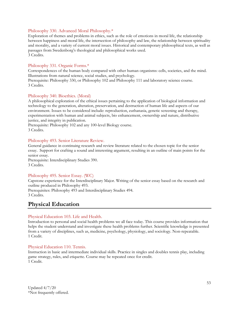#### Philosophy 330. Advanced Moral Philosophy.\*

Exploration of themes and problems in ethics, such as the role of emotions in moral life, the relationship between happiness and moral life, the intersection of philosophy and law, the relationship between spirituality and morality, and a variety of current moral issues. Historical and contemporary philosophical texts, as well as passages from Swedenborg's theological and philosophical works used. 3 Credits.

#### Philosophy 331. Organic Forms.\*

Correspondences of the human body compared with other human organisms: cells, societies, and the mind. Illustrations from natural science, social studies, and psychology.

Prerequisite: Philosophy 330, or Philosophy 102 and Philosophy 111 and laboratory science course. 3 Credits.

#### Philosophy 340. Bioethics. (Moral)

A philosophical exploration of the ethical issues pertaining to the application of biological information and technology to the generation, alteration, preservation, and destruction of human life and aspects of our environment. Issues to be considered include: reproduction, euthanasia, genetic screening and therapy, experimentation with human and animal subjects, bio enhancement, ownership and nature, distributive justice, and integrity in publication.

Prerequisite: Philosophy 102 and any 100-level Biology course. 3 Credits.

#### Philosophy 493. Senior Literature Review.

General guidance in continuing research and review literature related to the chosen topic for the senior essay. Support for crafting a sound and interesting argument, resulting in an outline of main points for the senior essay.

Prerequisite: Interdisciplinary Studies 390. 3 Credits.

#### Philosophy 495. Senior Essay. (WC)

Capstone experience for the Interdisciplinary Major. Writing of the senior essay based on the research and outline produced in Philosophy 493.

Prerequisites: Philosophy 493 and Interdisciplinary Studies 494. 3 Credits.

# **Physical Education**

#### Physical Education 103. Life and Health.

Introduction to personal and social health problems we all face today. This course provides information that helps the student understand and investigate these health problems further. Scientific knowledge is presented from a variety of disciplines, such as, medicine, psychology, physiology, and sociology. Non-repeatable. 1 Credit.

#### Physical Education 110. Tennis.

Instruction in basic and intermediate individual skills. Practice in singles and doubles tennis play, including game strategy, rules, and etiquette. Course may be repeated once for credit. 1 Credit.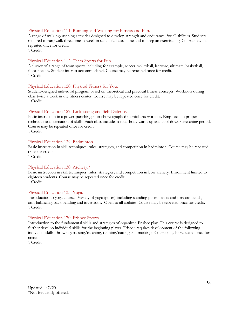#### Physical Education 111. Running and Walking for Fitness and Fun.

A range of walking/running activities designed to develop strength and endurance, for all abilities. Students required to run/walk three times a week in scheduled class time and to keep an exercise log. Course may be repeated once for credit.

1 Credit.

#### Physical Education 112. Team Sports for Fun.

A survey of a range of team sports including for example, soccer, volleyball, lacrosse, ultimate, basketball, floor hockey. Student interest accommodated. Course may be repeated once for credit. 1 Credit.

#### Physical Education 120. Physical Fitness for You.

Student-designed individual program based on theoretical and practical fitness concepts. Workouts during class twice a week in the fitness center. Course may be repeated once for credit. 1 Credit.

#### Physical Education 127. Kickboxing and Self-Defense.

Basic instruction in a power-punching, non-choreographed martial arts workout. Emphasis on proper technique and execution of skills. Each class includes a total-body warm-up and cool-down/stretching period. Course may be repeated once for credit.

1 Credit.

#### Physical Education 129. Badminton.

Basic instruction in skill techniques, rules, strategies, and competition in badminton. Course may be repeated once for credit.

1 Credit.

#### Physical Education 130. Archery.\*

Basic instruction in skill techniques, rules, strategies, and competition in bow archery. Enrollment limited to eighteen students. Course may be repeated once for credit. 1 Credit.

#### Physical Education 133. Yoga.

Introduction to yoga course. Variety of yoga (poses) including standing poses, twists and forward bends, arm-balancing, back bending and inversions. Open to all abilities. Course may be repeated once for credit. 1 Credit.

#### Physical Education 170. Frisbee Sports.

Introduction to the fundamental skills and strategies of organized Frisbee play. This course is designed to further develop individual skills for the beginning player. Frisbee requires development of the following individual skills: throwing/passing/catching, running/cutting and marking. Course may be repeated once for credit.

1 Credit.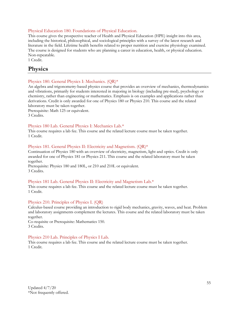#### Physical Education 180. Foundations of Physical Education.

This course gives the prospective teacher of Health and Physical Education (HPE) insight into this area, including the historical, philosophical, and sociological principles with a survey of the latest research and literature in the field. Lifetime health benefits related to proper nutrition and exercise physiology examined. The course is designed for students who are planning a career in education, health, or physical education. Non-repeatable.

1 Credit.

# **Physics**

#### Physics 180. General Physics I: Mechanics. (QR)\*

An algebra and trigonometry-based physics course that provides an overview of mechanics, thermodynamics and vibrations, primarily for students interested in majoring in biology (including pre-med), psychology or chemistry, rather than engineering or mathematics. Emphasis is on examples and applications rather than derivations. Credit is only awarded for one of Physics 180 or Physics 210. This course and the related laboratory must be taken together.

Prerequisite: Math 125 or equivalent. 3 Credits.

#### Physics 180 Lab. General Physics I: Mechanics Lab.\*

This course requires a lab fee. This course and the related lecture course must be taken together. 1 Credit.

#### Physics 181. General Physics II: Electricity and Magnetism. (QR)\*

Continuation of Physics 180 with an overview of electricity, magnetism, light and optics. Credit is only awarded for one of Physics 181 or Physics 211. This course and the related laboratory must be taken together.

Prerequisite: Physics 180 and 180L, or 210 and 210L or equivalent. 3 Credits.

#### Physics 181 Lab. General Physics II: Electricity and Magnetism Lab.\*

This course requires a lab fee. This course and the related lecture course must be taken together. 1 Credit.

#### Physics 210. Principles of Physics I. (QR)

Calculus-based course providing an introduction to rigid body mechanics, gravity, waves, and heat. Problem and laboratory assignments complement the lectures. This course and the related laboratory must be taken together.

Co-requisite or Prerequisite: Mathematics 150. 3 Credits.

#### Physics 210 Lab. Principles of Physics I Lab.

This course requires a lab fee. This course and the related lecture course must be taken together. 1 Credit.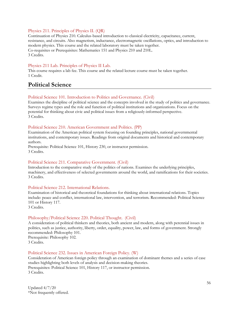#### Physics 211. Principles of Physics II. (QR)

Continuation of Physics 210. Calculus-based introduction to classical electricity, capacitance, current, resistance, and circuits. Also magnetism, inductance, electromagnetic oscillations, optics, and introduction to modern physics. This course and the related laboratory must be taken together. Co-requisites or Prerequisites: Mathematics 151 and Physics 210 and 210L. 3 Credits.

#### Physics 211 Lab. Principles of Physics II Lab.

This course requires a lab fee. This course and the related lecture course must be taken together. 1 Credit.

# **Political Science**

#### Political Science 101. Introduction to Politics and Governance. (Civil)

Examines the discipline of political science and the concepts involved in the study of politics and governance. Surveys regime types and the role and function of political institutions and organizations. Focus on the potential for thinking about civic and political issues from a religiously-informed perspective. 3 Credits.

#### Political Science 210. American Government and Politics. (PP)

Examination of the American political system focusing on founding principles, national governmental institutions, and contemporary issues. Readings from original documents and historical and contemporary authors.

Prerequisite: Political Science 101, History 230, or instructor permission. 3 Credits.

#### Political Science 211. Comparative Government. (Civil)

Introduction to the comparative study of the politics of nations. Examines the underlying principles, machinery, and effectiveness of selected governments around the world, and ramifications for their societies. 3 Credits.

#### Political Science 212. International Relations.

Examination of historical and theoretical foundations for thinking about international relations. Topics include: peace and conflict, international law, intervention, and terrorism. Recommended: Political Science 101 or History 117.

3 Credits.

#### Philosophy/Political Science 220. Political Thought. (Civil)

A consideration of political thinkers and theories, both ancient and modern, along with perennial issues in politics, such as justice, authority, liberty, order, equality, power, law, and forms of government. Strongly recommended: Philosophy 101. Prerequisite: Philosophy 102. 3 Credits.

#### Political Science 232. Issues in American Foreign Policy. (W)

Consideration of American foreign policy through an examination of dominant themes and a series of case studies highlighting both levels of analysis and decision-making theories. Prerequisites: Political Science 101, History 117, or instructor permission. 3 Credits.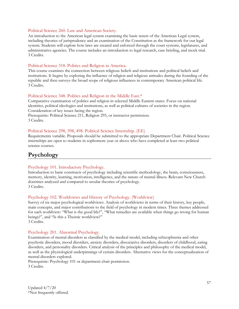#### Political Science 260. Law and American Society.

An introduction to the American legal system examining the basic tenets of the American Legal system, including theories of jurisprudence and an examination of the Constitution as the framework for our legal system. Students will explore how laws are created and enforced through the court systems, legislatures, and administrative agencies. The course includes an introduction to legal research, case briefing, and mock trial. 3 Credits.

#### Political Science 318. Politics and Religion in America.

This course examines the connection between religious beliefs and institutions and political beliefs and institutions. It begins by exploring the influence of religion and religious attitudes during the founding of the republic and then surveys the broad scope of religious influences in contemporary American political life. 3 Credits.

#### Political Science 348. Politics and Religion in the Middle East.\*

Comparative examination of politics and religion in selected Middle Eastern states. Focus on national identities, political ideologies and institutions, as well as political cultures of societies in the region. Consideration of key issues facing the region.

Prerequisite: Political Science 211, Religion 295, or instructor permission. 3 Credits.

#### Political Science 298, 398, 498. Political Science Internship. (EE)

Requirements variable. Proposals should be submitted to the appropriate Department Chair. Political Science internships are open to students in sophomore year or above who have completed at least two political science courses.

# **Psychology**

#### Psychology 101. Introductory Psychology.

Introduction to basic constructs of psychology including scientific methodology, the brain, consciousness, memory, identity, learning, motivation, intelligence, and the nature of mental illness. Relevant New Church doctrines analyzed and compared to secular theories of psychology. 3 Credits.

#### Psychology 102. Worldviews and History of Psychology. (Worldview)

Survey of six major psychological worldviews. Analysis of worldviews in terms of their history, key people, main concepts, and major contributions to the field of psychology in modern times. Three themes addressed for each worldview: "What is the good life?", "What remedies are available when things go wrong for human beings?", and "Is this a Theistic worldview?" 3 Credits.

#### Psychology 201. Abnormal Psychology.

Examination of mental disorders as classified by the medical model, including schizophrenia and other psychotic disorders, mood disorders, anxiety disorders, dissociative disorders, disorders of childhood, eating disorders, and personality disorders. Critical analysis of the principles and philosophy of the medical model, as well as the physiological underpinnings of certain disorders. Alternative views for the conceptualization of mental disorders explored.

Prerequisite: Psychology 101 or department chair permission. 3 Credits.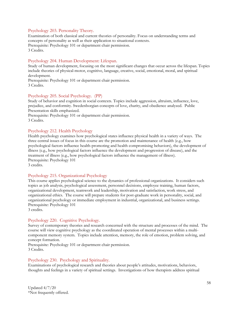#### Psychology 203. Personality Theory.

Examination of both classical and current theories of personality. Focus on understanding terms and concepts of personality as well as their application to situational contexts. Prerequisite: Psychology 101 or department chair permission. 3 Credits.

#### Psychology 204. Human Development: Lifespan.

Study of human development, focusing on the most significant changes that occur across the lifespan. Topics include theories of physical-motor, cognitive, language, creative, social, emotional, moral, and spiritual development.

Prerequisite: Psychology 101 or department chair permission. 3 Credits.

#### Psychology 205. Social Psychology. (PP)

Study of behavior and cognition in social contexts. Topics include aggression, altruism, influence, love, prejudice, and conformity. Swedenborgian concepts of love, charity, and obedience analyzed. Public Presentation skills emphasized.

Prerequisite: Psychology 101 or department chair permission. 3 Credits.

#### Psychology 212. Health Psychology

Health psychology examines how psychological states influence physical health in a variety of ways. The three central issues of focus in this course are the promotion and maintenance of health (e.g., how psychological factors influence health-promoting and health compromising behaviors), the development of illness (e.g., how psychological factors influence the development and progression of disease), and the treatment of illness (e.g., how psychological factors influence the management of illness). Prerequisite: Psychology 101 3 credits.

#### Psychology 215. Organizational Psychology

This course applies psychological science to the dynamics of professional organizations. It considers such topics as job analysis, psychological assessment, personnel decisions, employee training, human factors, organizational development, teamwork and leadership, motivation and satisfaction, work stress, and organizational ethics. The course will prepare students for post-graduate work in personality, social, and organizational psychology or immediate employment in industrial, organizational, and business settings. Prerequisite: Psychology 101

3 credits.

#### Psychology 220. Cognitive Psychology.

Survey of contemporary theories and research concerned with the structure and processes of the mind. The course will view cognitive psychology as the coordinated operation of mental processes within a multicomponent memory system. Topics include attention, memory, the role of emotion, problem solving, and concept formation.

Prerequisite: Psychology 101 or department chair permission. 3 Credits.

#### Psychology 230. Psychology and Spirituality.

Examinations of psychological research and theories about people's attitudes, motivations, behaviors, thoughts and feelings in a variety of spiritual settings. Investigations of how therapists address spiritual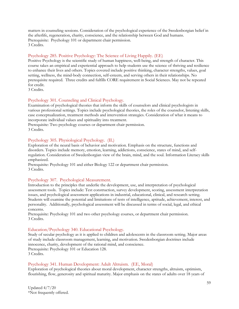matters in counseling sessions. Consideration of the psychological experience of the Swedenborgian belief in the afterlife, regeneration, charity, conscience, and the relationship between God and humans. Prerequisite: Psychology 101 or department chair permission. 3 Credits.

#### Psychology 285. Positive Psychology: The Science of Living Happily. (EE)

Positive Psychology is the scientific study of human happiness, well-being, and strength of character. This course takes an empirical and experiential approach to help students use the science of thriving and resilience to enhance their lives and others. Topics covered include positive thinking, character strengths, values, goal setting, wellness, the mind-body connection, self-esteem, and serving others in their relationships. No prerequisite required. Three credits and fulfills CORE requirement in Social Sciences. May not be repeated for credit.

3 Credits.

#### Psychology 301. Counseling and Clinical Psychology.

Examination of psychological theories that inform the skills of counselors and clinical psychologists in various professional settings. Topics include psychological theories, the roles of the counselor, listening skills, case conceptualization, treatment methods and intervention strategies. Consideration of what it means to incorporate individual values and spirituality into treatment.

Prerequisite: Two psychology courses or department chair permission. 3 Credits.

#### Psychology 305. Physiological Psychology. (IL)

Exploration of the neural basis of behavior and motivation. Emphasis on the structure, functions and disorders. Topics include memory, emotion, learning, addictions, conscience, states of mind, and selfregulation. Consideration of Swedenborgian view of the brain, mind, and the soul. Information Literacy skills emphasized.

Prerequisite: Psychology 101 and either Biology 122 or department chair permission. 3 Credits.

#### Psychology 307. Psychological Measurement.

Introduction to the principles that underlie the development, use, and interpretation of psychological assessment tools. Topics include: Test construction, survey development, scoring, assessment interpretation issues, and psychological assessment applications in industrial, educational, clinical, and research setting. Students will examine the potential and limitations of tests of intelligence, aptitude, achievement, interest, and personality. Additionally, psychological assessment will be discussed in terms of social, legal, and ethical concerns.

Prerequisite: Psychology 101 and two other psychology courses, or department chair permission. 3 Credits.

#### Education/Psychology 340. Educational Psychology.

Study of secular psychology as it is applied to children and adolescents in the classroom setting. Major areas of study include classroom management, learning, and motivation. Swedenborgian doctrines include innocence, charity, development of the rational mind, and conscience. Prerequisite: Psychology 101 or Education 128. 3 Credits.

#### Psychology 341. Human Development: Adult Altruism. (EE, Moral)

Exploration of psychological theories about moral development, character strengths, altruism, optimism, flourishing, flow, generosity and spiritual maturity. Major emphasis on the states of adults over 18 years of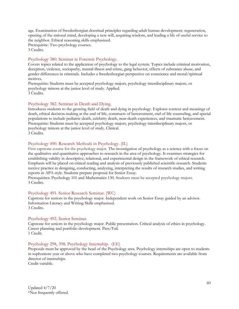age. Examination of Swedenborgian doctrinal principles regarding adult human development: regeneration, opening of the rational mind, developing a new will, acquiring wisdom, and leading a life of useful service to the neighbor. Ethical reasoning skills emphasized.

Prerequisite: Two psychology courses. 3 Credits.

#### Psychology 380. Seminar in Forensic Psychology.

Covers topics related to the application of psychology to the legal system. Topics include criminal motivation, deception, violence, sociopathy, mental illness and crime, gang behavior, effects of substance abuse, and gender differences in criminals. Includes a Swedenborgian perspective on conscience and moral/spiritual motives.

Prerequisite: Students must be accepted psychology majors, psychology interdisciplinary majors, or psychology minors at the junior level of study. Applied. 3 Credits.

#### Psychology 382. Seminar in Death and Dying.

Introduces students to the growing field of death and dying in psychology. Explores context and meanings of death, ethical decision-making at the end of life, constructs of bereavement, end of life counseling, and special populations to include pediatric death, celebrity death, near-death experiences, and traumatic bereavement. Prerequisite: Students must be accepted psychology majors, psychology interdisciplinary majors, or psychology minors at the junior level of study. Clinical. 3 Credits.

#### Psychology 490. Research Methods in Psychology. (IL)

First capstone course for the psychology major. The investigation of psychology as a science with a focus on the qualitative and quantitative approaches to research in the area of psychology. It examines strategies for establishing validity in descriptive, relational, and experimental design in the framework of ethical research. Emphasis will be placed on critical reading and analysis of previously published scientific research. Students receive practice in designing, conducting, analyzing, interpreting the results of research studies, and writing reports in APA style. Students prepare proposal for Senior Essay.

Prerequisites: Psychology 101 and Mathematics 130. Students must be accepted psychology majors. 3 Credits.

#### Psychology 491. Senior Research Seminar. (WC)

Capstone for seniors in the psychology major. Independent work on Senior Essay guided by an advisor. Information Literacy and Writing Skills emphasized. 3 Credits.

#### Psychology 492. Senior Seminar.

Capstone for seniors in the psychology major. Public presentation. Critical analysis of ethics in psychology. Career planning and portfolio development. Pass/Fail. 1 Credit.

#### Psychology 298, 398. Psychology Internship. (EE)

Proposals must be approved by the head of the Psychology area. Psychology internships are open to students in sophomore year or above who have completed two psychology courses. Requirements are available from director of internships.

Credit variable.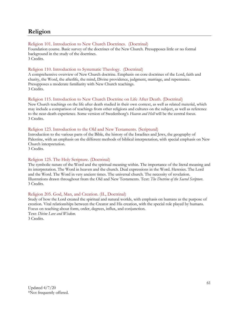# **Religion**

#### Religion 101. Introduction to New Church Doctrines. (Doctrinal)

Foundation course. Basic survey of the doctrines of the New Church. Presupposes little or no formal background in the study of the doctrines. 3 Credits.

#### Religion 110. Introduction to Systematic Theology. (Doctrinal)

A comprehensive overview of New Church doctrine. Emphasis on core doctrines of the Lord, faith and charity, the Word, the afterlife, the mind, Divine providence, judgment, marriage, and repentance. Presupposes a moderate familiarity with New Church teachings. 3 Credits.

#### Religion 115. Introduction to New Church Doctrine on Life After Death. (Doctrinal)

New Church teachings on the life after death studied in their own context, as well as related material, which may include a comparison of teachings from other religions and cultures on the subject, as well as reference to the near-death experience. Some version of Swedenborg's *Heaven and Hell* will be the central focus. 3 Credits.

#### Religion 123. Introduction to the Old and New Testaments. (Scriptural)

Introduction to the various parts of the Bible, the history of the Israelites and Jews, the geography of Palestine, with an emphasis on the different methods of biblical interpretation, with special emphasis on New Church interpretation.

3 Credits.

#### Religion 125. The Holy Scripture. (Doctrinal)

The symbolic nature of the Word and the spiritual meaning within. The importance of the literal meaning and its interpretation. The Word in heaven and the church. Dual expressions in the Word. Heresies. The Lord and the Word. The Word in very ancient times. The universal church. The necessity of revelation. Illustrations drawn throughout from the Old and New Testaments. Text: *The Doctrine of the Sacred Scripture*. 3 Credits.

#### Religion 205. God, Man, and Creation. (IL, Doctrinal)

Study of how the Lord created the spiritual and natural worlds, with emphasis on humans as the purpose of creation. Vital relationships between the Creator and His creation, with the special role played by humans. Focus on teaching about form, order, degrees, influx, and conjunction.

Text: *Divine Love and Wisdom*. 3 Credits.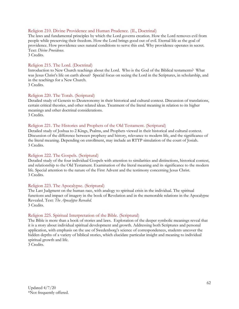#### Religion 210. Divine Providence and Human Prudence. (IL, Doctrinal)

The laws and fundamental principles by which the Lord governs creation. How the Lord removes evil from people while preserving their freedom. How the Lord brings good out of evil. Eternal life as the goal of providence. How providence uses natural conditions to serve this end. Why providence operates in secret. Text: *Divine Providence*.

3 Credits.

#### Religion 215. The Lord. (Doctrinal)

Introduction to New Church teachings about the Lord. Who is the God of the Biblical testaments? What was Jesus Christ's life on earth about? Special focus on seeing the Lord in the Scriptures, in scholarship, and in the teachings for a New Church. 3 Credits.

#### Religion 220. The Torah. (Scriptural)

Detailed study of Genesis to Deuteronomy in their historical and cultural context. Discussion of translations, certain critical theories, and other related ideas. Treatment of the literal meaning in relation to its higher meanings and other doctrinal considerations. 3 Credits.

#### Religion 221. The Histories and Prophets of the Old Testament. (Scriptural)

Detailed study of Joshua to 2 Kings, Psalms, and Prophets viewed in their historical and cultural context. Discussion of the difference between prophesy and history, relevance to modern life, and the significance of the literal meaning. Depending on enrollment, may include an RTTP simulation of the court of Josiah. 3 Credits.

#### Religion 222. The Gospels. (Scriptural)

Detailed study of the four individual Gospels with attention to similarities and distinctions, historical context, and relationship to the Old Testament. Examination of the literal meaning and its significance to the modern life. Special attention to the nature of the First Advent and the testimony concerning Jesus Christ. 3 Credits.

#### Religion 223. The Apocalypse. (Scriptural)

The Last Judgment on the human race, with analogy to spiritual crisis in the individual. The spiritual functions and impact of imagery in the book of Revelation and in the memorable relations in the Apocalypse Revealed. Text: *The Apocalypse Revealed*. 3 Credits.

#### Religion 225. Spiritual Interpretation of the Bible. (Scriptural)

The Bible is more than a book of stories and laws. Exploration of the deeper symbolic meanings reveal that it is a story about individual spiritual development and growth. Addressing both Scriptures and personal application, with emphasis on the use of Swedenborg's science of correspondences, students uncover the hidden depths of a variety of biblical stories, which elucidate particular insight and meaning to individual spiritual growth and life.

3 Credits.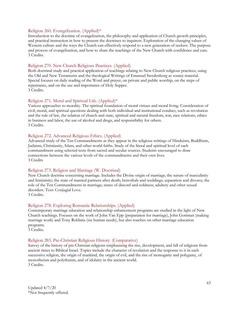#### Religion 260. Evangelization. (Applied)\*

Introduction to the doctrine of evangelization, the philosophy and application of Church growth principles, and practical instruction in how to present the doctrines to inquirers. Exploration of the changing values of Western culture and the ways the Church can effectively respond to a new generation of seekers. The purpose and process of evangelization, and how to share the teachings of the New Church with confidence and care. 3 Credits.

#### Religion 270. New Church Religious Practices. (Applied)

Both doctrinal study and practical application of teachings relating to New Church religious practices, using the Old and New Testaments and the theological Writings of Emanuel Swedenborg as source material. Special focuses on daily reading of the Word and prayer, on private and public worship, on the steps of repentance, and on the use and importance of Holy Supper. 3 Credits.

#### Religion 271. Moral and Spiritual Life. (Applied)\*

Various approaches to morality. The spiritual foundation of moral virtues and moral living. Consideration of civil, moral, and spiritual questions dealing with both individual and institutional conduct, such as revolution and the rule of law, the relation of church and state, spiritual and natural freedom, war, race relations, ethics in business and labor, the use of alcohol and drugs, and responsibility for others. 3 Credits.

#### Religion 272. Advanced Religious Ethics. (Applied)

Advanced study of the Ten Commandments as they appear in the religious writings of Hinduism, Buddhism, Judaism, Christianity, Islam, and other world faiths. Study of the literal and spiritual level of each commandment using selected texts from sacred and secular sources. Students encouraged to draw connections between the various levels of the commandments and their own lives. 3 Credits

#### Religion 273. Religion and Marriage (W. Doctrinal)

New Church doctrine concerning marriage. Includes the Divine origin of marriage; the nature of masculinity and femininity; the state of married partners after death; betrothals and weddings; separation and divorce; the role of the Ten Commandments in marriage; states of discord and coldness; adultery and other sexual disorders. Text: Conjugial Love.

3 Credits.

#### Religion 278. Exploring Romantic Relationships. (Applied)

Contemporary marriage education and relationship enhancement programs are studied in the light of New Church teachings. Focuses on the work of John Van Epp (preparation for marriage), John Gottman (making marriage work) and Tony Robbins (six human needs), but also touches on other marriage education programs.

3 Credits.

#### Religion 283. Pre-Christian Religious History. (Comparative)

Survey of the history of pre-Christian religions emphasizing the rise, development, and fall of religions from ancient times to Biblical Israel. Topics include the character of revelation and the response to it in each successive religion, the origin of mankind, the origin of evil, and the rise of monogamy and polygamy, of monotheism and polytheism, and of idolatry in the ancient world. 3 Credits.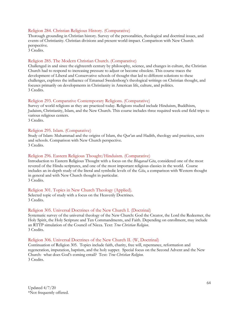#### Religion 284. Christian Religious History. (Comparative)

Thorough grounding in Christian history. Survey of the personalities, theological and doctrinal issues, and events of Christianity. Christian divisions and present world-impact. Comparison with New Church perspective.

3 Credits.

#### Religion 285. The Modern Christian Church. (Comparative)

Challenged in and since the eighteenth century by philosophy, science, and changes in culture, the Christian Church had to respond to increasing pressure to adjust or become obsolete. This course traces the development of Liberal and Conservative schools of thought that led to different solutions to these challenges, explores the influence of Emanuel Swedenborg's theological writings on Christian thought, and focuses primarily on developments in Christianity in American life, culture, and politics. 3 Credits.

#### Religion 293. Comparative Contemporary Religions. (Comparative)

Survey of world religions as they are practiced today. Religions studied include Hinduism, Buddhism, Judaism, Christianity, Islam, and the New Church. This course includes three required week-end field trips to various religious centers.

3 Credits.

#### Religion 295. Islam. (Comparative)

Study of Islam: Muhammad and the origins of Islam, the Qur'an and Hadith, theology and practices, sects and schools. Comparison with New Church perspective. 3 Credits.

#### Religion 296. Eastern Religious Thought/Hinduism. (Comparative)

Introduction to Eastern Religious Thought with a focus on the *Bhagavad Gita*, considered one of the most revered of the Hindu scriptures, and one of the most important religious classics in the world. Course includes an in-depth study of the literal and symbolic levels of the *Gita*, a comparison with Western thought in general and with New Church thought in particular. 3 Credits.

#### Religion 301. Topics in New Church Theology (Applied).

Selected topic of study with a focus on the Heavenly Doctrines. 3 Credits.

#### Religion 305. Universal Doctrines of the New Church I. (Doctrinal)

Systematic survey of the universal theology of the New Church: God the Creator, the Lord the Redeemer, the Holy Spirit, the Holy Scripture and Ten Commandments, and Faith. Depending on enrollment, may include an RTTP simulation of the Council of Nicea. Text: *True Christian Religion*. 3 Credits.

#### Religion 306. Universal Doctrines of the New Church II. (W, Doctrinal)

Continuation of Religion 305. Topics include faith, charity, free will, repentance, reformation and regeneration, imputation, baptism, and the holy supper. Special focus on the Second Advent and the New Church: what does God's coming entail? Text: *True Christian Religion*. 3 Credits.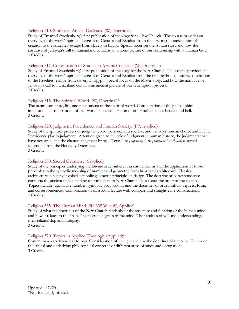#### Religion 310. Studies in Arcana Coelestia. (W, Doctrinal)

Study of Emanuel Swedenborg's first publication of theology for a New Church. The course provides an overview of the work's spiritual exegesis of Genesis and Exodus--from the first mythopoeic stories of creation to the Israelites' escape from slavery in Egypt. Special focus on the Abram story and how the narrative of Jehovah's call to humankind contains an ancient picture of our relationship with a Human God. 3 Credits.

#### Religion 311. Continuation of Studies in Arcana Coelestia. (W, Doctrinal)

Study of Emanuel Swedenborg's first publication of theology for the New Church. The course provides an overview of the work's spiritual exegesis of Genesis and Exodus-from the first mythopoeic stories of creation to the Israelites' escape from slavery in Egypt. Special focus on the Moses story, and how the narrative of Jehovah's call to humankind contains an ancient picture of our redemption process. 3 Credits.

#### Religion 315. The Spiritual World. (W, Doctrinal)\*

The nature, structure, life, and phenomena of the spiritual world. Consideration of the philosophical implications of the creation of that world and consideration of other beliefs about heaven and hell. 3 Credits.

#### Religion 320. Judgment, Providence, and Human Society. (PP, Applied)

Study of the spiritual process of judgment, both personal and societal, and the roles human choice and Divine Providence play in judgment. Attention given to the role of judgment in human history, the judgments that have occurred, and the changes judgment brings. Text: *Last Judgment, Last Judgment Continued,* assorted selections from the Heavenly Doctrines.

3 Credits.

#### Religion 330. Sacred Geometry. (Applied)

Study of the principles underlying the Divine order inherent in natural forms and the application of those principles to the symbolic meaning of number and geometric form in art and architecture. Classical architecture explicitly invoked symbolic geometric principles in design. The doctrine of correspondence connects the ancient understanding of symbolism to New Church ideas about the order of the cosmos. Topics include: qualitative number, symbolic proportions, and the doctrines of order, influx, degrees, form, and correspondences. Combination of classroom lecture with compass and straight-edge constructions. 3 Credits.

#### Religion 335. The Human Mind. (Rel335 W is W, Applied)

Study of what the doctrines of the New Church teach about the structure and function of the human mind and how it relates to the brain. The discrete degrees of the mind. The faculties of will and understanding, their relationship and interplay.

3 Credits.

#### Religion 370. Topics in Applied Theology. (Applied)\*

Content may vary from year to year. Consideration of the light shed by the doctrines of the New Church on the ethical and underlying philosophical concerns of different areas of study and occupations. 3 Credits.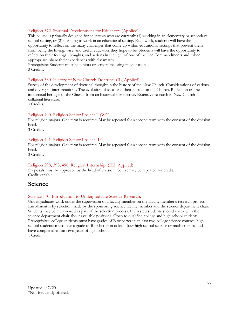#### Religion 372. Spiritual Development for Educators (Applied)

This course is primarily designed for educators who are currently (1) working in an elementary or secondary school setting, or (2) planning to work in an educational setting. Each week, students will have the opportunity to reflect on the many challenges that come up within educational settings that prevent them from being the loving, wise, and useful educators they hope to be. Students will have the opportunity to reflect on their feelings, thoughts, and actions in the light of one of the Ten Commandments and, when appropriate, share their experiences with classmates.

Prerequisite: Students must be juniors or seniors majoring in education 3 Credits.

#### Religion 380. History of New Church Doctrine. (IL, Applied)

Survey of the development of doctrinal thought in the history of the New Church. Considerations of various and divergent interpretations. The evolution of ideas and their impact on the Church. Reflection on the intellectual heritage of the Church from an historical perspective. Extensive research in New Church collateral literature.

3 Credits.

#### Religion 490. Religion Senior Project I. (WC)

For religion majors. One term is required. May be repeated for a second term with the consent of the division head.

3 Credits.

#### Religion 491. Religion Senior Project II.\*

For religion majors. One term is required. May be repeated for a second term with the consent of the division head.

3 Credits.

#### Religion 298, 398, 498. Religion Internship. (EE, Applied)

Proposals must be approved by the head of division. Course may be repeated for credit. Credit variable.

# **Science**

#### Science 170. Introduction to Undergraduate Science Research.

Undergraduates work under the supervision of a faculty member on the faculty member's research project. Enrollment is by selection made by the sponsoring science faculty member and the science department chair. Students may be interviewed as part of the selection process. Interested students should check with the science department chair about available positions. Open to qualified college and high school students. Prerequisites: college students must have grades of B or better in at least two college science courses; high school students must have a grade of B or better in at least four high school science or math courses, and have completed at least two years of high school.

1 Credit.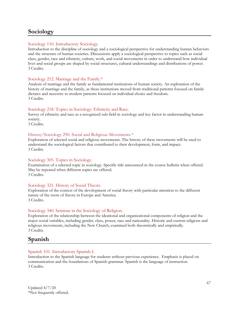# **Sociology**

#### Sociology 110. Introductory Sociology.

Introduction to the discipline of sociology and a sociological perspective for understanding human behaviors and the structure of human societies. Discussions apply a sociological perspective to topics such as social class, gender, race and ethnicity, culture, work, and social movements in order to understand how individual lives and social groups are shaped by social structures, cultural understandings and distributions of power. 3 Credits.

#### Sociology 212. Marriage and the Family.\*

Analysis of marriage and the family as fundamental institutions of human society. An exploration of the history of marriage and the family, as these institutions moved from traditional patterns focused on family dictates and necessity to modern patterns focused on individual choice and freedom. 3 Credits.

#### Sociology 218. Topics in Sociology: Ethnicity and Race.

Survey of ethnicity and race as a recognized sub-field in sociology and key factor in understanding human society.

3 Credits.

#### History/Sociology 290. Social and Religious Movements.\*

Exploration of selected social and religious movements. The history of these movements will be used to understand the sociological factors that contributed to their development, form, and impact. 3 Credits.

#### Sociology 305. Topics in Sociology.

Examination of a selected topic in sociology. Specific title announced in the course bulletin when offered. May be repeated when different topics are offered. 3 Credits.

#### Sociology 321. History of Social Theory.

Exploration of the context of the development of social theory with particular attention to the different nature of the roots of theory in Europe and America. 3 Credits.

#### Sociology 340. Seminar in the Sociology of Religion.

Exploration of the relationship between the ideational and organizational components of religion and the major social variables, including gender, class, power, race and nationality. Historic and current religions and religious movements, including the New Church, examined both theoretically and empirically. 3 Credits.

# **Spanish**

#### Spanish 101. Introductory Spanish I.

Introduction to the Spanish language for students without previous experience. Emphasis is placed on communication and the foundations of Spanish grammar. Spanish is the language of instruction. 3 Credits.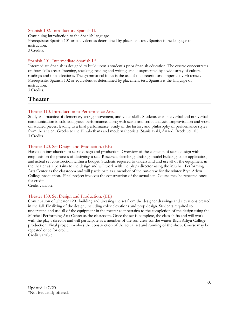#### Spanish 102. Introductory Spanish II.

Continuing introduction to the Spanish language. Prerequisite: Spanish 101 or equivalent as determined by placement test. Spanish is the language of instruction. 3 Credits.

#### Spanish 201. Intermediate Spanish I.\*

Intermediate Spanish is designed to build upon a student's prior Spanish education. The course concentrates on four skills areas: listening, speaking, reading and writing, and is augmented by a wide array of cultural readings and film selections. The grammatical focus is the use of the preterite and imperfect verb tenses. Prerequisite: Spanish 102 or equivalent as determined by placement test. Spanish is the language of instruction.

3 Credits.

# **Theater**

#### Theater 110. Introduction to Performance Arts.

Study and practice of elementary acting, movement, and voice skills. Students examine verbal and nonverbal communication in solo and group performance, along with scene and script analysis. Improvisation and work on studied pieces, leading to a final performance. Study of the history and philosophy of performance styles from the ancient Greeks to the Elizabethans and modern theorists (Stanislavski, Artaud, Brecht, et. al.). 3 Credits.

#### Theater 120. Set Design and Production. (EE)

Hands-on introduction to scene design and production. Overview of the elements of scene design with emphasis on the process of designing a set. Research, sketching, drafting, model building, color application, and actual set construction within a budget. Students required to understand and use all of the equipment in the theater as it pertains to the design and will work with the play's director using the Mitchell Performing Arts Center as the classroom and will participate as a member of the run-crew for the winter Bryn Athyn College production. Final project involves the construction of the actual set. Course may be repeated once for credit.

Credit variable.

#### Theater 130. Set Design and Production. (EE)

Continuation of Theater 120: building and dressing the set from the designer drawings and elevations created in the fall. Finalizing of the design, including color elevations and prop design. Students required to understand and use all of the equipment in the theater as it pertains to the completion of the design using the Mitchell Performing Arts Center as the classroom. Once the set is complete, the class shifts and will work with the play's director and will participate as a member of the run-crew for the winter Bryn Athyn College production. Final project involves the construction of the actual set and running of the show. Course may be repeated once for credit.

Credit variable.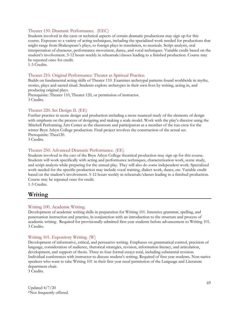#### Theater 150. Dramatic Performance. (EEC)

Students involved in the casts or technical aspects of certain dramatic productions may sign up for this course. Exposure to a variety of acting techniques, including the specialized work needed for productions that might range from Shakespeare's plays, to foreign plays in translation, to musicals. Script analysis, oral interpretation of character, performance movement, dance, and vocal techniques. Variable credit based on the student's involvement. 5-12 hours weekly in rehearsals/classes leading to a finished production. Course may be repeated once for credit.

1-3 Credits.

#### Theater 210. Original Performance: Theater as Spiritual Practice.

Builds on fundamental acting skills of Theater 110. Examines archetypal patterns found worldwide in myths, stories, plays and sacred ritual. Students explore archetypes in their own lives by writing, acting in, and producing original plays.

Prerequisite: Theater 110, Theater 120, or permission of instructor. 3 Credits.

#### Theater 220. Set Design II. (EE)

Further practice in scene design and production including a more nuanced study of the elements of design with emphasis on the process of designing and making a scale model. Work with the play's director using the Mitchell Performing Arts Center as the classroom and participation as a member of the run-crew for the winter Bryn Athyn College production. Final project involves the construction of the actual set. Prerequisite: Thea120.

3 Credits.

#### Theater 250. Advanced Dramatic Performance. (EE)

Students involved in the cast of the Bryn Athyn College theatrical production may sign up for this course. Students will work specifically with acting and performance techniques, characterization work, scene study, and script analysis while preparing for the annual play. They will also do some independent work. Specialized work needed for the specific production may include vocal training, dialect work, dance, etc. Variable credit based on the student's involvement. 5-12 hours weekly in rehearsals/classes leading to a finished production. Course may be repeated once for credit.

1-3 Credits.

## **Writing**

#### Writing 100. Academic Writing.

Development of academic writing skills in preparation for Writing 101. Intensive grammar, spelling, and punctuation instruction and practice, in conjunction with an introduction to the structure and process of academic writing. Required for provisionally-admitted first-year students before advancement to Writing 101. 3 Credits.

#### Writing 101. Expository Writing. (W)

Development of informative, critical, and persuasive writing. Emphases on grammatical control, precision of language, consideration of audience, rhetorical strategies, revision, information literacy, and articulation, development, and support of thesis. Three to four formal essays total, including substantial revision. Individual conferences with instructor to discuss student's writing. Required of first year students. Non-native speakers who want to take Writing 101 in their first year need permission of the Language and Literature department chair.

3 Credits.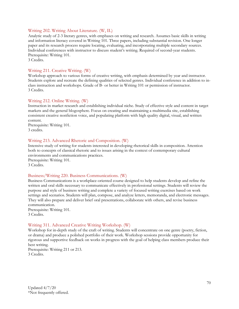#### Writing 202. Writing About Literature. (W, IL)

Analytic study of 2-3 literary genres, with emphases on writing and research. Assumes basic skills in writing and information literacy covered in Writing 101. Three papers, including substantial revision. One longer paper and its research process require locating, evaluating, and incorporating multiple secondary sources. Individual conferences with instructor to discuss student's writing. Required of second-year students. Prerequisite: Writing 101.

3 Credits.

#### Writing 211. Creative Writing. (W)

Workshop approach to various forms of creative writing, with emphasis determined by year and instructor. Students explore and recreate the defining qualities of selected genres. Individual conference in addition to inclass instruction and workshops. Grade of B- or better in Writing 101 or permission of instructor. 3 Credits.

#### Writing 212. Online Writing. (W)

Instruction in market research and establishing individual niche. Study of effective style and content in target markets and the general blogosphere. Focus on creating and maintaining a multimedia site, establishing consistent creative nonfiction voice, and populating platform with high quality digital, visual, and written content.

Prerequisite: Writing 101. 3 credits.

#### Writing 213. Advanced Rhetoric and Composition. (W)

Intensive study of writing for students interested in developing rhetorical skills in composition. Attention both to concepts of classical rhetoric and to issues arising in the context of contemporary cultural environments and communications practices. Prerequisite: Writing 101. 3 Credits.

#### Business/Writing 220. Business Communications. (W)

Business Communications is a workplace-oriented course designed to help students develop and refine the written and oral skills necessary to communicate effectively in professional settings. Students will review the purpose and style of business writing and complete a variety of focused writing exercises based on work settings and scenarios. Students will plan, compose, and analyze letters, memoranda, and electronic messages. They will also prepare and deliver brief oral presentations, collaborate with others, and revise business communication.

Prerequisite: Writing 101. 3 Credits.

#### Writing 311. Advanced Creative Writing Workshop. (W)

Workshop for in-depth study of the craft of writing. Students will concentrate on one genre (poetry, fiction, or drama) and produce a polished portfolio of their work. Workshop sessions provide opportunity for rigorous and supportive feedback on works in progress with the goal of helping class members produce their best writing. Prerequisite: Writing 211 or 213.

3 Credits.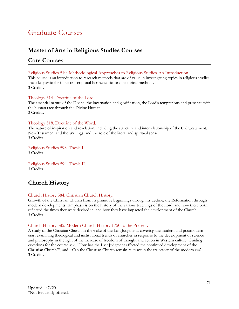# Graduate Courses

# **Master of Arts in Religious Studies Courses**

# **Core Courses**

Religious Studies 510. Methodological Approaches to Religious Studies-An Introduction.

This course is an introduction to research methods that are of value in investigating topics in religious studies. Includes particular focus on scriptural hermeneutics and historical methods. 3 Credits.

#### Theology 514. Doctrine of the Lord.

The essential nature of the Divine, the incarnation and glorification, the Lord's temptations and presence with the human race through the Divine Human. 3 Credits.

#### Theology 518. Doctrine of the Word.

The nature of inspiration and revelation, including the structure and interrelationship of the Old Testament, New Testament and the Writings, and the role of the literal and spiritual sense. 3 Credits.

Religious Studies 598. Thesis I. 3 Credits.

Religious Studies 599. Thesis II. 3 Credits.

# **Church History**

#### Church History 584. Christian Church History.

Growth of the Christian Church from its primitive beginnings through its decline, the Reformation through modern developments. Emphasis is on the history of the various teachings of the Lord, and how these both reflected the times they were devised in, and how they have impacted the development of the Church. 3 Credits.

#### Church History 585. Modern Church History 1750 to the Present.

A study of the Christian Church in the wake of the Last Judgment, covering the modern and postmodern eras, examining theological and institutional trends of churches in response to the development of science and philosophy in the light of the increase of freedom of thought and action in Western culture. Guiding questions for the course ask, "How has the Last Judgment affected the continued development of the Christian Church?", and, "Can the Christian Church remain relevant in the trajectory of the modern era?" 3 Credits.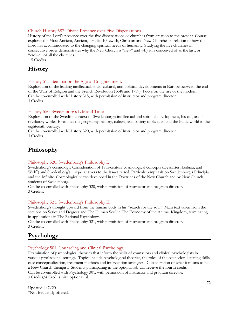#### Church History 587. Divine Presence over Five Dispensations.

History of the Lord's presence over the five dispensations or churches from creation to the present. Course explores the Most Ancient, Ancient, Israelitish/Jewish, Christian and New Churches in relation to how the Lord has accommodated to the changing spiritual needs of humanity. Studying the five churches in consecutive order demonstrates why the New Church is "new" and why it is conceived of as the last, or "crown" of all the churches.

1.5 Credits.

# **History**

#### History 515. Seminar on the Age of Enlightenment.

Exploration of the leading intellectual, socio-cultural, and political developments in Europe between the end of the Wars of Religion and the French Revolution (1648 and 1789). Focus on the rise of the modern. Can be co-enrolled with History 315, with permission of instructor and program director. 3 Credits.

#### History 550. Swedenborg's Life and Times.

Exploration of the Swedish context of Swedenborg's intellectual and spiritual development, his call, and his revelatory works. Examines the geography, history, culture, and society of Sweden and the Baltic world in the eighteenth century.

Can be co-enrolled with History 320, with permission of instructor and program director. 3 Credits.

# **Philosophy**

#### Philosophy 520. Swedenborg's Philosophy I.

Swedenborg's cosmology. Consideration of 18th-century cosmological concepts (Descartes, Leibniz, and Wolff) and Swedenborg's unique answers to the issues raised. Particular emphasis on Swedenborg's Principia and the Infinite. Cosmological views developed in the Doctrines of the New Church and by New Church students of Swedenborg.

Can be co-enrolled with Philosophy 320, with permission of instructor and program director. 3 Credits.

#### Philosophy 521. Swedenborg's Philosophy II.

Swedenborg's thought upward from the human body in his "search for the soul." Main text taken from the sections on Series and Degrees and The Human Soul in The Economy of the Animal Kingdom, terminating in applications in The Rational Psychology.

Can be co-enrolled with Philosophy 321, with permission of instructor and program director. 3 Credits.

# **Psychology**

#### Psychology 501. Counseling and Clinical Psychology.

Examination of psychological theories that inform the skills of counselors and clinical psychologists in various professional settings. Topics include psychological theories, the roles of the counselor, listening skills, case conceptualization, treatment methods and intervention strategies. Consideration of what it means to be a New Church therapist. Students participating in the optional lab will receive the fourth credit. Can be co-enrolled with Psychology 301, with permission of instructor and program director. 3 Credits/4 Credits with optional lab.

Updated 4/7/20 \*Not frequently offered.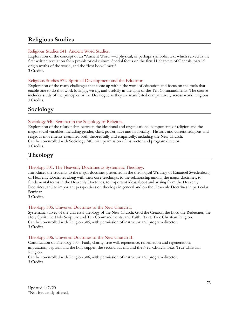# **Religious Studies**

# Religious Studies 541. Ancient Word Studies.

Exploration of the concept of an "Ancient Word"—a physical, or perhaps symbolic, text which served as the first written revelation for a pre-historical culture. Special focus on the first 11 chapters of Genesis, parallel origin myths of the world, and the "lost book" motif. 3 Credits.

# Religious Studies 572. Spiritual Development and the Educator

Exploration of the many challenges that come up within the work of education and focus on the tools that enable one to do that work lovingly, wisely, and usefully in the light of the Ten Commandments. The course includes study of the principles or the Decalogue as they are manifested comparatively across world religions. 3 Credits.

# **Sociology**

# Sociology 540. Seminar in the Sociology of Religion.

Exploration of the relationship between the ideational and organizational components of religion and the major social variables, including gender, class, power, race and nationality. Historic and current religions and religious movements examined both theoretically and empirically, including the New Church. Can be co-enrolled with Sociology 340, with permission of instructor and program director. 3 Credits.

# **Theology**

#### Theology 501. The Heavenly Doctrines as Systematic Theology.

Introduces the students to the major doctrines presented in the theological Writings of Emanuel Swedenborg or Heavenly Doctrines along with their core teachings, to the relationship among the major doctrines, to fundamental terms in the Heavenly Doctrines, to important ideas about and arising from the Heavenly Doctrines, and to important perspectives on theology in general and on the Heavenly Doctrines in particular. Seminar.

3 Credits.

#### Theology 505. Universal Doctrines of the New Church I.

Systematic survey of the universal theology of the New Church: God the Creator, the Lord the Redeemer, the Holy Spirit, the Holy Scripture and Ten Commandments, and Faith. Text: True Christian Religion. Can be co-enrolled with Religion 305, with permission of instructor and program director. 3 Credits.

#### Theology 506. Universal Doctrines of the New Church II.

Continuation of Theology 505. Faith, charity, free will, repentance, reformation and regeneration, imputation, baptism and the holy supper, the second advent, and the New Church. Text: True Christian Religion.

Can be co-enrolled with Religion 306, with permission of instructor and program director. 3 Credits.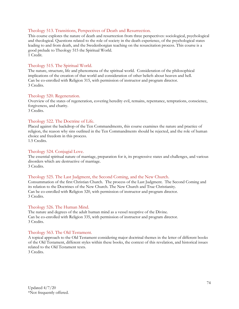## Theology 513. Transitions, Perspectives of Death and Resurrection.

This course explores the nature of death and resurrection from three perspectives: sociological, psychological and theological. Questions related to the role of society in the death experience, of the psychological states leading to and from death, and the Swedenborgian teaching on the resuscitation process. This course is a good prelude to Theology 515 the Spiritual World. 1 Credit.

# Theology 515. The Spiritual World.

The nature, structure, life and phenomena of the spiritual world. Consideration of the philosophical implications of the creation of that world and consideration of other beliefs about heaven and hell. Can be co-enrolled with Religion 315, with permission of instructor and program director. 3 Credits.

#### Theology 520. Regeneration.

Overview of the states of regeneration, covering heredity evil, remains, repentance, temptations, conscience, forgiveness, and charity. 3 Credits.

#### Theology 522. The Doctrine of Life.

Placed against the backdrop of the Ten Commandments, this course examines the nature and practice of religion, the reason why sins outlined in the Ten Commandments should be rejected, and the role of human choice and freedom in this process.

1.5 Credits.

#### Theology 524. Conjugial Love.

The essential spiritual nature of marriage, preparation for it, its progressive states and challenges, and various disorders which are destructive of marriage. 3 Credits.

#### Theology 525. The Last Judgment, the Second Coming, and the New Church.

Consummation of the first Christian Church. The process of the Last Judgment. The Second Coming and its relation to the Doctrines of the New Church. The New Church and True Christianity. Can be co-enrolled with Religion 320, with permission of instructor and program director. 3 Credits.

#### Theology 526. The Human Mind.

The nature and degrees of the adult human mind as a vessel receptive of the Divine. Can be co-enrolled with Religion 335, with permission of instructor and program director. 3 Credits.

#### Theology 563. The Old Testament.

A topical approach to the Old Testament considering major doctrinal themes in the letter of different books of the Old Testament, different styles within these books, the context of this revelation, and historical issues related to the Old Testament texts.

3 Credits.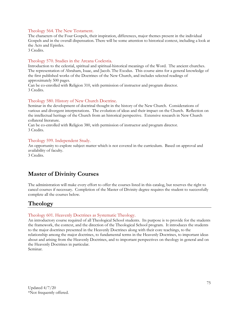## Theology 564. The New Testament.

The characters of the Four Gospels, their inspiration, differences, major themes present in the individual Gospels and in the overall dispensation. There will be some attention to historical context, including a look at the Acts and Epistles.

3 Credits.

# Theology 570. Studies in the Arcana Coelestia.

Introduction to the celestial, spiritual and spiritual-historical meanings of the Word. The ancient churches. The representation of Abraham, Isaac, and Jacob. The Exodus. This course aims for a general knowledge of the first published works of the Doctrines of the New Church, and includes selected readings of approximately 500 pages.

Can be co-enrolled with Religion 310, with permission of instructor and program director. 3 Credits.

# Theology 580. History of New Church Doctrine.

Seminar in the development of doctrinal thought in the history of the New Church. Considerations of various and divergent interpretations. The evolution of ideas and their impact on the Church. Reflection on the intellectual heritage of the Church from an historical perspective. Extensive research in New Church collateral literature.

Can be co-enrolled with Religion 380, with permission of instructor and program director. 3 Credits.

# Theology 599. Independent Study.

An opportunity to explore subject matter which is not covered in the curriculum. Based on approval and availability of faculty.

3 Credits.

# **Master of Divinity Courses**

The administration will make every effort to offer the courses listed in this catalog, but reserves the right to cancel courses if necessary. Completion of the Master of Divinity degree requires the student to successfully complete all the courses below.

# **Theology**

#### Theology 601. Heavenly Doctrines as Systematic Theology.

An introductory course required of all Theological School students. Its purpose is to provide for the students the framework, the context, and the direction of the Theological School program. It introduces the students to the major doctrines presented in the Heavenly Doctrines along with their core teachings, to the relationship among the major doctrines, to fundamental terms in the Heavenly Doctrines, to important ideas about and arising from the Heavenly Doctrines, and to important perspectives on theology in general and on the Heavenly Doctrines in particular.

Seminar.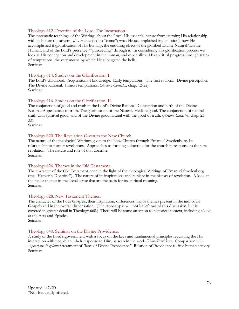#### Theology 612. Doctrine of the Lord: The Incarnation.

The systematic teachings of the Writings about the Lord: His essential nature from eternity; His relationship with us before the advent; why He needed to "come"; what He accomplished (redemption), how He accomplished it (glorification of His human); the enduring effect of the glorified Divine Natural/Divine Human, and of the Lord's presence /"proceeding" through it. In considering His glorification process we look at His conception and development in the human, and especially at His spiritual progress through states of temptations, the very means by which He subjugated the hells. Seminar.

# Theology 614. Studies on the Glorification: I.

The Lord's childhood. Acquisition of knowledge. Early temptations. The first rational. Divine perception. The Divine Rational. Inmost temptations. (*Arcana Caelestia*, chap. 12-22). Seminar.

# Theology 616. Studies on the Glorification: II.

The conjunction of good and truth in the Lord's Divine Rational. Conception and birth of the Divine Natural. Appearances of truth. The glorification of the Natural. Mediate good. The conjunction of natural truth with spiritual good, and of the Divine good natural with the good of truth. (*Arcana Caelestia*, chap. 23- 33).

Seminar.

#### Theology 620. The Revelation Given to the New Church.

The nature of the theological Writings given to the New Church through Emanuel Swedenborg. Its relationship to former revelations. Approaches to forming a doctrine for the church in response to the new revelation. The nature and role of that doctrine. Seminar.

#### Theology 626. Themes in the Old Testament.

The character of the Old Testament, seen in the light of the theological Writings of Emanuel Swedenborg (the "Heavenly Doctrine"). The nature of its inspirations and its place in the history of revelation. A look at the major themes in the literal sense that are the basis for its spiritual meaning. Seminar.

#### Theology 628. New Testament Themes.

The character of the Four Gospels, their inspiration, differences, major themes present in the individual Gospels and in the overall dispensation. (The Apocalypse will not be left out of this discussion, but is covered in greater detail in Theology 668.) There will be some attention to historical context, including a look at the Acts and Epistles.

Seminar.

#### Theology 640. Seminar on the Divine Providence.

A study of the Lord's government with a focus on the laws and fundamental principles regulating the His interaction with people and their response to Him, as seen in the work *Divine Providence*. Comparison with *Apocalypse Explained* treatment of "laws of Divine Providence." Relation of Providence to free human activity. Seminar.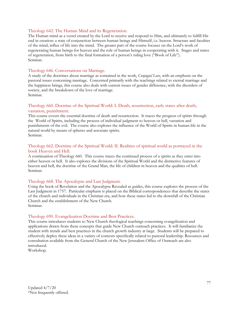## Theology 642. The Human Mind and its Regeneration.

The Human mind as a vessel created by the Lord to receive and respond to Him, and ultimately to fulfill His end in creation: a state of conjunction between human beings and Himself, i.e. heaven. Structure and faculties of the mind, influx of life into the mind. The greater part of the course focuses on the Lord's work of regenerating human beings for heaven and the role of human beings in cooperating with it. Stages and states of regeneration, from birth to the final formation of a person's ruling love ("Book of Life"). Seminar.

## Theology 646. Conversations on Marriage.

A study of the doctrines about marriage as contained in the work, *Conjugial Love*, with an emphasis on the pastoral issues concerning marriage. Concerned primarily with the teachings related to eternal marriage and the happiness brings, this course also deals with current issues of gender difference, with the disorders of society, and the breakdown of the love of marriage. Seminar.

# Theology 660. Doctrine of the Spiritual World: I. Death, resurrection, early states after death, vastation, punishment.

This course covers the essential doctrine of death and resurrection. It traces the progress of spirits through the World of Spirits, including the process of individual judgment to heaven or hell, vastation and punishments of the evil. The course also explores the influence of the World of Spirits in human life in the natural world by means of spheres and associate spirits. Seminar.

# Theology 662. Doctrine of the Spiritual World: II. Realities of spiritual world as portrayed in the book Heaven and Hell.

A continuation of Theology 660. This course traces the continued process of a spirits as they enter into either heaven or hell. It also explores the divisions of the Spiritual World and the distinctive features of heaven and hell, the doctrine of the Grand Man, the life of children in heaven and the qualities of hell. Seminar.

# Theology 668. The Apocalypse and Last Judgment.

Using the book of Revelation and the Apocalypse Revealed as guides, this course explores the process of the Last Judgment in 1757. Particular emphasis is placed on the Biblical correspondences that describe the states of the church and individuals in the Christian era, and how these states led to the downfall of the Christian Church and the establishment of the New Church. Seminar.

#### Theology 690. Evangelization Doctrine and Best Practices.

This course introduces students to New Church theological teachings concerning evangelization and applications drawn from these concepts that guide New Church outreach practices. It will familiarize the student with trends and best practices in the church growth industry at large. Students will be prepared to effectively deploy these ideas in a variety of contexts specifically related to pastoral leadership. Resources and consultation available from the General Church of the New Jerusalem Office of Outreach are also introduced.

Workshop.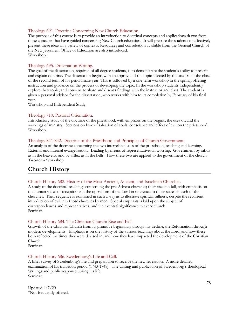# Theology 691. Doctrine Concerning New Church Education.

The purpose of this course is to provide an introduction to doctrinal concepts and applications drawn from these concepts that have guided concerning New Church education. It will prepare the students to effectively present these ideas in a variety of contexts. Resources and consultation available from the General Church of the New Jerusalem Office of Education are also introduced. Workshop.

#### Theology 695. Dissertation Writing.

The goal of the dissertation, required of all degree students, is to demonstrate the student's ability to present and explain doctrine. The dissertation begins with an approval of the topic selected by the student at the close of the second term of his penultimate year. This is followed by a one term workshop in the spring, offering instruction and guidance on the process of developing the topic. In the workshop students independently explore their topic, and convene to share and discuss findings with the instructor and class. The student is given a personal advisor for the dissertation, who works with him to its completion by February of his final year.

Workshop and Independent Study.

#### Theology 710. Pastoral Orientation.

Introductory study of the doctrine of the priesthood, with emphasis on the origins, the uses of, and the workings of ministry. Sections on love of salvation of souls, conscience and effect of evil on the priesthood. Workshop.

#### Theology 841-842. Doctrine of the Priesthood and Principles of Church Government.

An analysis of the doctrine concerning the two interrelated uses of the priesthood, teaching and learning. External and internal evangelization. Leading by means of representatives in worship. Government by influx as in the heavens, and by afflux as in the hells. How these two are applied to the government of the church. Two-term Workshop.

# **Church History**

# Church History 682. History of the Most Ancient, Ancient, and Israelitish Churches.

A study of the doctrinal teachings concerning the pre-Advent churches; their rise and fall, with emphasis on the human states of reception and the operations of the Lord in reference to those states in each of the churches. Their sequence is examined in such a way as to illustrate spiritual fullness, despite the recurrent introduction of evil into those churches by men. Special emphasis is laid upon the subject of correspondences and representatives, and their central significance in every church. Seminar.

#### Church History 684. The Christian Church: Rise and Fall.

Growth of the Christian Church from its primitive beginnings through its decline, the Reformation through modern developments. Emphasis is on the history of the various teachings about the Lord, and how these both reflected the times they were devised in, and how they have impacted the development of the Christian Church.

Seminar.

#### Church History 686. Swedenborg's Life and Call.

A brief survey of Swedenborg's life and preparation to receive the new revelation. A more detailed examination of his transition period (1743-1748). The writing and publication of Swedenborg's theological Writings and public response during his life. Seminar.

Updated 4/7/20 \*Not frequently offered.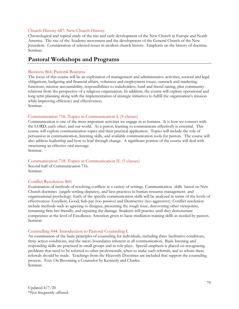#### Church History 687. New Church History.

Chronological and topical study of the rise and early development of the New Church in Europe and North America. The rise of the Academy movement and the development of the General Church of the New Jerusalem. Consideration of selected issues in modern church history. Emphasis on the history of doctrine. Seminar.

# **Pastoral Workshops and Programs**

#### Business 864. Pastoral Business.

The focus of this course will be an exploration of management and administrative activities, societal and legal obligations, budgeting and financial affairs, volunteer and employment issues, outreach and marketing functions, mission accountability, responsibilities to stakeholders, fund and friend raising, plus community relations from the perspective of a religious organization. In addition, the course will explore operational and long term planning along with the implementation of strategic initiatives to fulfill the organization's mission while improving efficiency and effectiveness.

Seminar.

#### Communication 716. Topics in Communication I. (5 classes)

Communication is one of the most important activities we engage in as humans. It is how we connect with the LORD, each other, and our world. As a pastor, learning to communicate effectively is essential. This course will explore communication topics and their practical application. Topics will include the role of persuasion in communication, listening skills, and available communication tools for pastors. The course will also address leadership and how to lead through change. A significant portion of the course will deal with structuring an effective oral message. Seminar.

#### Communication 718. Topics in Communication II. (5 classes)

Second half of Communication 716. Seminar.

#### Conflict Resolution 860.

Examination of methods of resolving conflicts in a variety of settings. Communication skills based on New Church doctrines (angels settling disputes), and best practices in human resource management and organizational psychology. Each of the specific communication skills will be analyzed in terms of the levels of effectiveness: Excellent, Good, Sub-par (too passive) and Destructive (too aggressive). Conflict resolution include methods such as agreeing to disagree, presenting the tough issue, discovering other viewpoints, remaining firm but friendly, and repairing the damage. Students will practice until they demonstrate competence at the level of Excellence. Attention given to basic mediation training skills as needed by pastors. Seminar.

#### Counselling 844. Introduction to Pastoral Counseling I.

An examination of the basic principles of counseling for individuals, including three facilitative conditions, three action conditions, and the micro boundaries inherent in all communication. Basic listening and responding skills are practiced in small groups and in role plays. Special emphasis is placed on recognizing problems that need to be referred to other professionals, when to make such referrals, and to whom these referrals should be made. Teachings from the Heavenly Doctrines are included that support the counseling process. Text: On Becoming a Counselor by Kennedy and Charles. Seminar.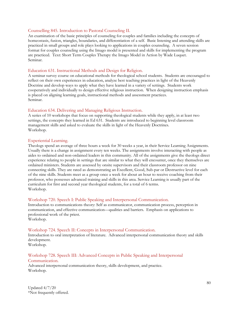#### Counselling 845. Introduction to Pastoral Counseling II.

An examination of the basic principles of counseling for couples and families including the concepts of homeostasis, fusion, triangles, boundaries, and differentiation of a self. Basic listening and attending skills are practiced in small groups and role plays looking to applications in couples counseling. A seven session format for couples counseling using the Imago model is presented and skills for implementing the program are practiced. Text: Short Term Couples Therapy the Imago Model in Action by Wade Luquet. Seminar.

#### Education 631. Instructional Methods and Design for Religion.

A seminar survey course on educational methods for theological school students. Students are encouraged to reflect on their own experiences in education, analyze best teaching practices in light of the Heavenly Doctrine and develop ways to apply what they have learned in a variety of settings. Students work cooperatively and individually to design effective religious instruction. When designing instruction emphasis is placed on aligning learning goals, instructional methods and assessment practices. Seminar.

#### Education 634. Delivering and Managing Religious Instruction.

A series of 10 workshops that focus on supporting theological students while they apply, in at least two settings, the concepts they learned in Ed 631. Students are introduced to beginning level classroom management skills and asked to evaluate the skills in light of the Heavenly Doctrines. Workshop.

#### Experiential Learning.

Theologs spend an average of three hours a week for 30 weeks a year, in their Service Learning Assignments. Usually there is a change in assignment every ten weeks. The assignments involve interacting with people as aides to ordained and non-ordained leaders in this community. All of the assignments give the theologs direct experience relating to people in settings that are similar to what they will encounter, once they themselves are ordained ministers. Students are assessed by onsite supervisors and their classroom professor on nine connecting skills. They are rated as demonstrating an Excellent, Good, Sub-par or Destructive level for each of the nine skills. Students meet as a group once a week for about an hour to receive coaching from their professor, who possesses advanced training and skills in this area. Service Learning is usually part of the curriculum for first and second year theological students, for a total of 6 terms. Workshop.

#### Workshop 720. Speech I: Public Speaking and Interpersonal Communication.

Introduction to communications theory: Self as communicator, communication process, perception in communication, and effective communication—qualities and barriers. Emphasis on applications to professional work of the priest.

# Workshop.

#### Workshop 724. Speech II: Concepts in Interpersonal Communication.

Introduction to oral interpretation of literature. Advanced interpersonal communication theory and skills development.

Workshop.

#### Workshop 728. Speech III: Advanced Concepts in Public Speaking and Interpersonal Communication.

Advanced interpersonal communication theory, skills development, and practice. Workshop.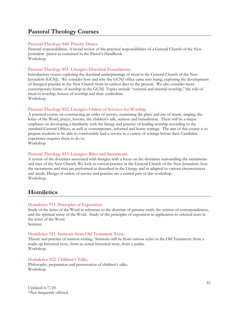# **Pastoral Theology Courses**

#### Pastoral Theology 848. Priestly Duties.

Pastoral responsibilities. A broad review of the practical responsibilities of a General Church of the New Jerusalem pastor as contained in the Pastor's Handbook. Workshop.

#### Pastoral Theology 851. Liturgics: Doctrinal Foundations.

Introductory course exploring the doctrinal underpinnings of ritual in the General Church of the New Jerusalem (GCNJ). We consider how and why the GCNJ office came into being, exploring the development of liturgical practice in the New Church from its earliest days to the present. We also consider more contemporary forms of worship in the GCNJ. Topics include "external and internal worship," the role of ritual in worship, houses of worship and their symbolism. Workshop.

#### Pastoral Theology 852. Liturgics: Orders of Services for Worship.

A practical course on constructing an order of service, examining the place and use of music, singing, the letter of the Word, prayer, lessons, the children's talk, sermon and benediction. There will be a major emphasis on developing a familiarity with the liturgy and practice of leading worship according to the standard General Offices, as well as contemporary, informal and home settings. The aim of this course is to prepare students to be able to comfortably lead a service in a variety of settings before their Candidate experience requires them to do so.

Workshop.

#### Pastoral Theology 853. Liturgics: Rites and Sacraments.

A review of the doctrines associated with liturgics with a focus on the doctrines surrounding the sacraments and rites of the New Church. We look at current practice in the General Church of the New Jerusalem: how the sacraments and rites are performed as described in the Liturgy and as adapted to various circumstances and needs. Design of orders of service and practice are a central part of this workshop. Workshop.

# **Homiletics**

#### Homiletics 911. Principles of Exposition.

Study of the letter of the Word in reference to the doctrine of genuine truth, the science of correspondences, and the spiritual sense of the Word. Study of the principles of exposition in application to selected texts in the letter of the Word.

Seminar.

#### Homiletics 921. Sermons from Old Testament Texts**.**

Theory and practice of sermon writing. Sermons will be from various styles in the Old Testament: from a made-up historical story, from an actual historical story, from a psalm. Workshop.

#### Homiletics 922. Children's Talks.

Philosophy, preparation and presentation of children's talks. Workshop.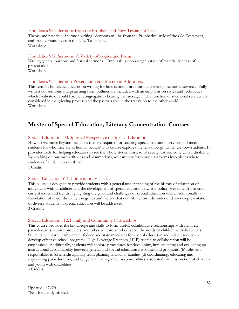#### Homiletics 923. Sermons from the Prophets and New Testament Texts.

Theory and practice of sermon writing. Sermons will be from the Prophetical style of the Old Testament, and from various styles in the New Testament. Workshop.

#### Homiletics 932. Sermons: A Variety of Topics and Focus.

Writing general purpose and festival sermons. Emphasis is upon organization of material for ease of presentation.

Workshop.

#### Homiletics 933. Sermon Presentation and Memorial Addresses.

This term of homiletics focuses on writing for how sermons are heard and writing memorial services. Fully written out sermons and preaching from outlines are included with an emphasis on styles and techniques which facilitate or could hamper congregations hearing the message. The function of memorial services are considered in the grieving process and the pastor's role in the transition to the other world. Workshop.

# **Master of Special Education, Literacy Concentration Courses**

#### Special Education 500. Spiritual Perspective on Special Education.

How do we move beyond the labels that are required for securing special education services and meet students for who they are as human beings? This course explores the lens through which we view students. It provides tools for helping educators to see the whole student instead of seeing just someone with a disability. By working on our own attitudes and assumptions, we can transform our classrooms into places where students of all abilities can thrive.

1 Credit.

#### Special Education 511. Contemporary Issues.

This course is designed to provide students with a general understanding of the history of education of individuals with disabilities and the development of special education law and policy over time. It presents current issues and trends highlighting the goals and challenges of special education today. Additionally, a foundation of major disability categories and factors that contribute towards under-and over- representation of diverse students in special education will be addressed. 3 Credits.

#### Special Education 512. Family and Community Partnerships.

This course provides the knowledge and skills to form useful, collaborative relationships with families, paraeducators, service providers, and other educators to best serve the needs of children with disabilities. Students will learn to implement federal and state mandates for special education and related services to develop effective school programs. High-Leverage Practices (HLP) related to collaboration will be emphasized. Additionally, students will explore procedures for developing, implementing and evaluating (a) instructional accountability between general and special education personnel and programs, (b) roles and responsibilities (c) interdisciplinary team planning including families (d) coordinating, educating and supervising paraeducators, and (e) general management responsibilities associated with instruction of children and youth with disabilities.

3 Credits.

Updated 4/7/20 \*Not frequently offered.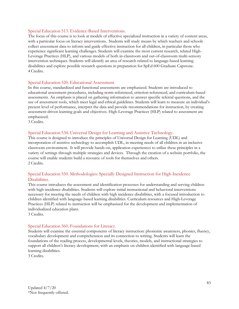## Special Education 513. Evidence-Based Interventions.

The focus of this course is to look at models of effective specialized instruction in a variety of content areas, with a particular focus on literacy interventions. Students will study means by which teachers and schools collect assessment data to inform and guide effective instruction for all children, in particular those who experience significant learning challenges. Students will examine the most current research, related High-Leverage Practices (HLP), and various models of both in-classroom and out-of-classroom multi-sensory intervention techniques. Students will identify an area of research related to language-based learning disabilities and explore possible research questions in preparation for SpEd 600 Graduate Capstone.    4 Credits.

# Special Education 520. Educational Assessment.

In this course, standardized and functional assessments are emphasized. Students are introduced to educational assessment procedures, including norm-referenced, criterion-referenced, and curriculum-based assessments. An emphasis is placed on gathering information to answer specific referral questions, and the use of assessment tools, which meet legal and ethical guidelines. Students will learn to measure an individual's present level of performance, interpret the data and provide recommendations for instruction, by creating assessment driven learning goals and objectives. High-Leverage Practices (HLP) related to assessment are emphasized.

3 Credits.

#### Special Education 534. Universal Design for Learning and Assistive Technology.

This course is designed to introduce the principles of Universal Design for Learning (UDL) and incorporation of assistive technology to accomplish UDL, in meeting needs of all children in an inclusive classroom environment. It will provide hands-on, application experiences to utilize these principles in a variety of settings through multiple strategies and devices. Through the creation of a website portfolio, the course will enable students build a resource of tools for themselves and others.     2 Credits.

# Special Education 550. Methodologies: Specially Designed Instruction for High-Incidence Disabilities.

This course introduces the assessment and identification processes for understanding and serving children with high-incidence disabilities. Students will explore initial instructional and behavioral interventions necessary for meeting the needs of children with high incidence disabilities, with a focused introduction to children identified with language-based learning disabilities. Curriculum resources and High-Leverage Practices (HLP) related to instruction will be emphasized for the development and implementation of individualized education plans.  

3 Credits.

#### Special Education 560. Foundations for Literacy.

Students will examine the essential components of literacy instruction: phonemic awareness, phonics, fluency, vocabulary development and comprehension and its connection to writing. Students will learn the foundations of the reading process, developmental levels, theories, models, and instructional strategies to support all children's literacy development, with an emphasis on children identified with language-based learning disabilities.

3 Credits.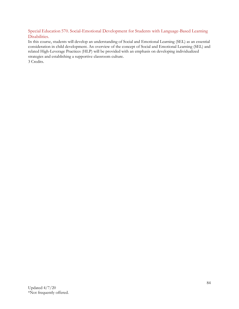Special Education 570. Social-Emotional Development for Students with Language-Based Learning Disabilities.

In this course, students will develop an understanding of Social and Emotional Learning (SEL) as an essential consideration in child development. An overview of the concept of Social and Emotional Learning (SEL) and related High-Leverage Practices (HLP) will be provided with an emphasis on developing individualized strategies and establishing a supportive classroom culture.

3 Credits.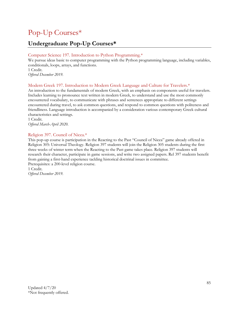# Pop-Up Courses\*

# **Undergraduate Pop-Up Courses\***

# Computer Science 197. Introduction to Python Programming.\*

We pursue ideas basic to computer programming with the Python programming language, including variables, conditionals, loops, arrays, and functions. 1 Credit.

*Offered December 2019.*

# Modern Greek 197. Introduction to Modern Greek Language and Culture for Travelers.\*

An introduction to the fundamentals of modern Greek, with an emphasis on components useful for travelers. Includes learning to pronounce text written in modern Greek, to understand and use the most commonly encountered vocabulary, to communicate with phrases and sentences appropriate to different settings encountered during travel, to ask common questions, and respond to common questions with politeness and friendliness. Language introduction is accompanied by a consideration various contemporary Greek cultural characteristics and settings.

1 Credit. *Offered March-April 2020.*

# Religion 397. Council of Nicea.\*

This pop-up course is participation in the Reacting to the Past "Council of Nicea" game already offered in Religion 305: Universal Theology. Religion 397 students will join the Religion 305 students during the first three weeks of winter term when the Reacting to the Past game takes place. Religion 397 students will research their character, participate in game sessions, and write two assigned papers. Rel 397 students benefit from gaining a first-hand experience tackling historical doctrinal issues in committee. Prerequisites: a 200-level religion course.

1 Credit. *Offered December 2019.*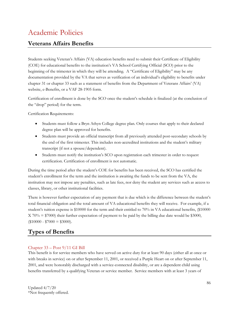# Academic Policies

# **Veterans Affairs Benefits**

Students seeking Veteran's Affairs (VA) education benefits need to submit their Certificate of Eligibility (COE) for educational benefits to the institution's VA School Certifying Official (SCO) prior to the beginning of the trimester in which they will be attending. A "Certificate of Eligibility" may be any documentation provided by the VA that serves as verification of an individual's eligibility to benefits under chapter 31 or chapter 33 such as a statement of benefits from the Department of Veterans Affairs' (VA) website, e-Benefits, or a VAF 28-1905 form.

Certification of enrollment is done by the SCO once the student's schedule is finalized (at the conclusion of the "drop" period) for the term.

Certification Requirements:

- Students must follow a Bryn Athyn College degree plan. Only courses that apply to their declared degree plan will be approved for benefits.
- Students must provide an official transcript from all previously attended post-secondary schools by the end of the first trimester. This includes non-accredited institutions and the student's military transcript (if not a spouse/dependent).
- Students must notify the institution's SCO upon registration each trimester in order to request certification. Certification of enrollment is not automatic.

During the time period after the student's COE for benefits has been received, the SCO has certified the student's enrollment for the term and the institution is awaiting the funds to be sent from the VA, the institution may not impose any penalties, such as late fees, nor deny the student any services such as access to classes, library, or other institutional facilities.

There is however further expectation of any payment that is due which is the difference between the student's total financial obligation and the total amount of VA educational benefits they will receive. For example, if a student's tuition expense is \$10000 for the term and their entitled to 70% in VA educational benefits, (\$10000  $X$  70% = \$7000) their further expectation of payment to be paid by the billing due date would be \$3000,  $$10000 - $7000 = $3000$ .

# **Types of Benefits**

# Chapter 33 – Post 9/11 GI Bill

This benefit is for service members who have served on active duty for at least 90 days (either all at once or with breaks in service) on or after September 11, 2001, or received a Purple Heart on or after September 11, 2001, and were honorably discharged with a service-connected disability, or are a dependent child using benefits transferred by a qualifying Veteran or service member. Service members with at least 3 years of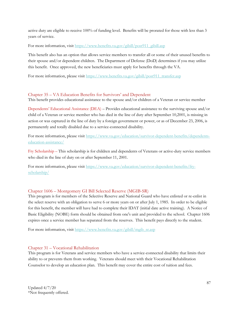active duty are eligible to receive 100% of funding level. Benefits will be prorated for those with less than 3 years of service.

For more information, visit [https://www.benefits.va.gov/gibill/post911\\_gibill.asp](https://www.benefits.va.gov/gibill/post911_gibill.asp)

This benefit also has an option that allows service members to transfer all or some of their unused benefits to their spouse and/or dependent children. The Department of Defense (DoD) determines if you may utilize this benefit. Once approved, the new beneficiaries must apply for benefits through the VA.

For more information, please visit [https://www.benefits.va.gov/gibill/post911\\_transfer.asp](https://www.benefits.va.gov/gibill/post911_transfer.asp)

# Chapter 35 – VA Education Benefits for Survivors' and Dependent

This benefit provides educational assistance to the spouse and/or children of a Veteran or service member

Dependents' Educational Assistance (DEA) – Provides educational assistance to the surviving spouse and/or child of a Veteran or service member who has died in the line of duty after September 10,2001, is missing in action or was captured in the line of duty by a foreign government or power, or as of December 23, 2006, is permanently and totally disabled due to a service-connected disability.

For more information, please visit [https://www.va.gov/education/survivor-dependent-benefits/dependents](https://www.va.gov/education/survivor-dependent-benefits/dependents-education-assistance/)[education-assistance/](https://www.va.gov/education/survivor-dependent-benefits/dependents-education-assistance/)

Fry Scholarship – This scholarship is for children and dependents of Veterans or active-duty service members who died in the line of duty on or after September 11, 2001.

For more information, please visit [https://www.va.gov/education/survivor-dependent-benefits/fry](https://www.va.gov/education/survivor-dependent-benefits/fry-scholarship/)[scholarship/](https://www.va.gov/education/survivor-dependent-benefits/fry-scholarship/)

# Chapter 1606 – Montgomery GI Bill Selected Reserve (MGIB-SR)

This program is for members of the Selective Reserve and National Guard who have enlisted or re-enlist in the select reserve with an obligation to serve 6 or more years on or after July 1, 1985. In order to be eligible for this benefit, the member will have had to complete their IDAT (initial date active training). A Notice of Basic Eligibility (NOBE) form should be obtained from one's unit and provided to the school. Chapter 1606 expires once a service member has separated from the reserves. This benefit pays directly to the student.

For more information, visit [https://www.benefits.va.gov/gibill/mgib\\_sr.asp](https://www.benefits.va.gov/gibill/mgib_sr.asp)

#### Chapter 31 – Vocational Rehabilitation

This program is for Veterans and service members who have a service-connected disability that limits their ability to or prevents them from working. Veterans should meet with their Vocational Rehabilitation Counselor to develop an education plan. This benefit may cover the entire cost of tuition and fees.